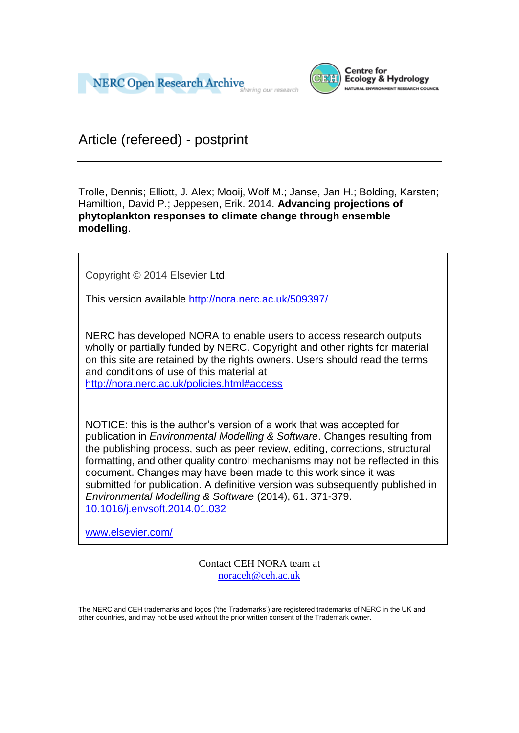



Article (refereed) - postprint

Trolle, Dennis; Elliott, J. Alex; Mooij, Wolf M.; Janse, Jan H.; Bolding, Karsten; Hamiltion, David P.; Jeppesen, Erik. 2014. **Advancing projections of phytoplankton responses to climate change through ensemble modelling**.

Copyright © 2014 Elsevier Ltd.

This version available<http://nora.nerc.ac.uk/509397/>

NERC has developed NORA to enable users to access research outputs wholly or partially funded by NERC. Copyright and other rights for material on this site are retained by the rights owners. Users should read the terms and conditions of use of this material at <http://nora.nerc.ac.uk/policies.html#access>

NOTICE: this is the author's version of a work that was accepted for publication in *Environmental Modelling & Software*. Changes resulting from the publishing process, such as peer review, editing, corrections, structural formatting, and other quality control mechanisms may not be reflected in this document. Changes may have been made to this work since it was submitted for publication. A definitive version was subsequently published in *Environmental Modelling & Software* (2014), 61. 371-379. [10.1016/j.envsoft.2014.01.032](http://dx.doi.org/10.1016/j.envsoft.2014.01.032)

[www.elsevier.com/](http://www.elsevier.com/)

Contact CEH NORA team at [noraceh@ceh.ac.uk](mailto:nora@ceh.ac.uk)

The NERC and CEH trademarks and logos ('the Trademarks') are registered trademarks of NERC in the UK and other countries, and may not be used without the prior written consent of the Trademark owner*.*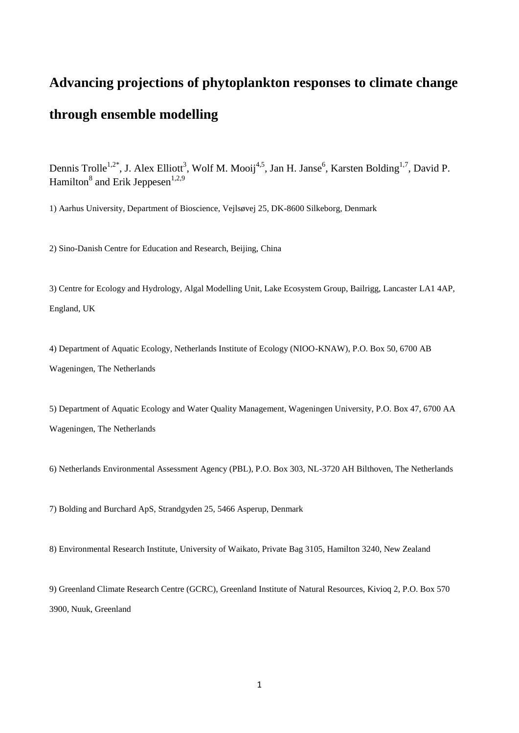# **Advancing projections of phytoplankton responses to climate change through ensemble modelling**

Dennis Trolle<sup>1,2\*</sup>, J. Alex Elliott<sup>3</sup>, Wolf M. Mooij<sup>4,5</sup>, Jan H. Janse<sup>6</sup>, Karsten Bolding<sup>1,7</sup>, David P. Hamilton<sup>8</sup> and Erik Jeppesen<sup>1,2,9</sup>

1) Aarhus University, Department of Bioscience, Vejlsøvej 25, DK-8600 Silkeborg, Denmark

2) Sino-Danish Centre for Education and Research, Beijing, China

3) Centre for Ecology and Hydrology, Algal Modelling Unit, Lake Ecosystem Group, Bailrigg, Lancaster LA1 4AP, England, UK

4) Department of Aquatic Ecology, Netherlands Institute of Ecology (NIOO-KNAW), P.O. Box 50, 6700 AB Wageningen, The Netherlands

5) Department of Aquatic Ecology and Water Quality Management, Wageningen University, P.O. Box 47, 6700 AA Wageningen, The Netherlands

6) Netherlands Environmental Assessment Agency (PBL), P.O. Box 303, NL-3720 AH Bilthoven, The Netherlands

7) Bolding and Burchard ApS, Strandgyden 25, 5466 Asperup, Denmark

8) Environmental Research Institute, University of Waikato, Private Bag 3105, Hamilton 3240, New Zealand

9) Greenland Climate Research Centre (GCRC), Greenland Institute of Natural Resources, Kivioq 2, P.O. Box 570 3900, Nuuk, Greenland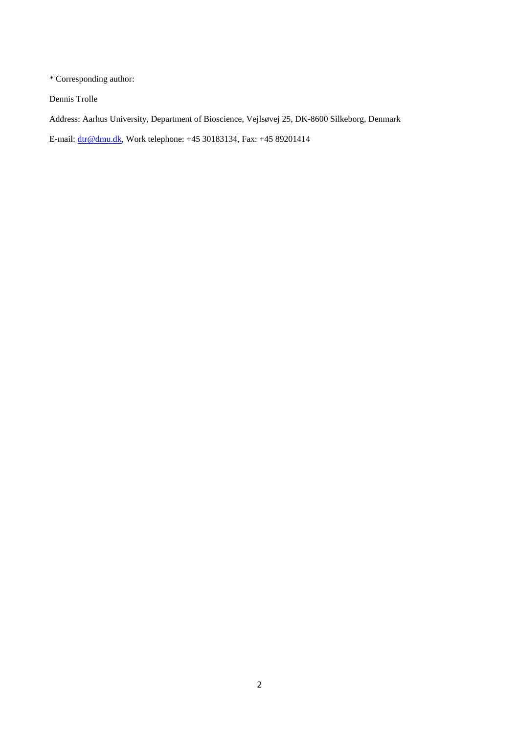\* Corresponding author:

Dennis Trolle

Address: Aarhus University, Department of Bioscience, Vejlsøvej 25, DK-8600 Silkeborg, Denmark

E-mail: [dtr@dmu.dk,](mailto:dtr@dmu.dk) Work telephone: +45 30183134, Fax: +45 89201414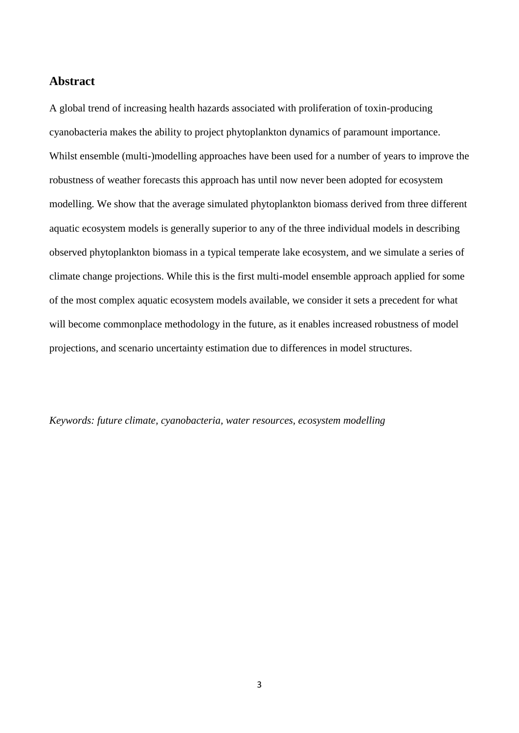## **Abstract**

A global trend of increasing health hazards associated with proliferation of toxin-producing cyanobacteria makes the ability to project phytoplankton dynamics of paramount importance. Whilst ensemble (multi-)modelling approaches have been used for a number of years to improve the robustness of weather forecasts this approach has until now never been adopted for ecosystem modelling. We show that the average simulated phytoplankton biomass derived from three different aquatic ecosystem models is generally superior to any of the three individual models in describing observed phytoplankton biomass in a typical temperate lake ecosystem, and we simulate a series of climate change projections. While this is the first multi-model ensemble approach applied for some of the most complex aquatic ecosystem models available, we consider it sets a precedent for what will become commonplace methodology in the future, as it enables increased robustness of model projections, and scenario uncertainty estimation due to differences in model structures.

*Keywords: future climate, cyanobacteria, water resources, ecosystem modelling*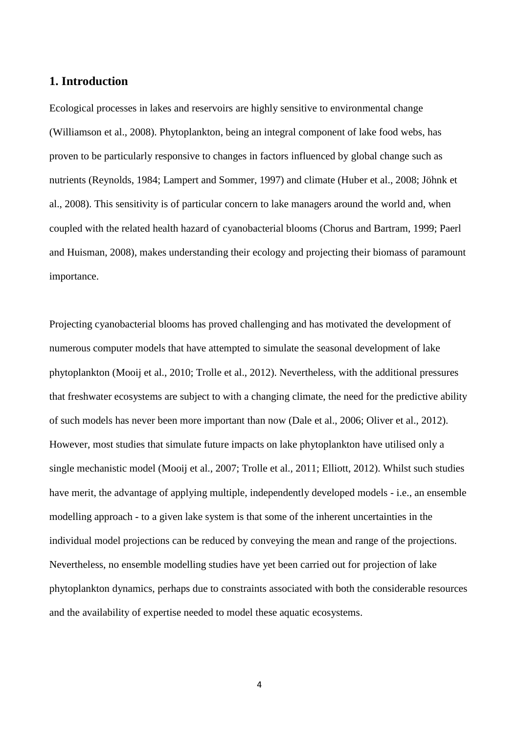## **1. Introduction**

Ecological processes in lakes and reservoirs are highly sensitive to environmental change (Williamson et al., 2008). Phytoplankton, being an integral component of lake food webs, has proven to be particularly responsive to changes in factors influenced by global change such as nutrients (Reynolds, 1984; Lampert and Sommer, 1997) and climate (Huber et al., 2008; Jöhnk et al., 2008). This sensitivity is of particular concern to lake managers around the world and, when coupled with the related health hazard of cyanobacterial blooms (Chorus and Bartram, 1999; Paerl and Huisman, 2008), makes understanding their ecology and projecting their biomass of paramount importance.

Projecting cyanobacterial blooms has proved challenging and has motivated the development of numerous computer models that have attempted to simulate the seasonal development of lake phytoplankton (Mooij et al., 2010; Trolle et al., 2012). Nevertheless, with the additional pressures that freshwater ecosystems are subject to with a changing climate, the need for the predictive ability of such models has never been more important than now (Dale et al., 2006; Oliver et al., 2012). However, most studies that simulate future impacts on lake phytoplankton have utilised only a single mechanistic model (Mooij et al., 2007; Trolle et al., 2011; Elliott, 2012). Whilst such studies have merit, the advantage of applying multiple, independently developed models - i.e., an ensemble modelling approach - to a given lake system is that some of the inherent uncertainties in the individual model projections can be reduced by conveying the mean and range of the projections. Nevertheless, no ensemble modelling studies have yet been carried out for projection of lake phytoplankton dynamics, perhaps due to constraints associated with both the considerable resources and the availability of expertise needed to model these aquatic ecosystems.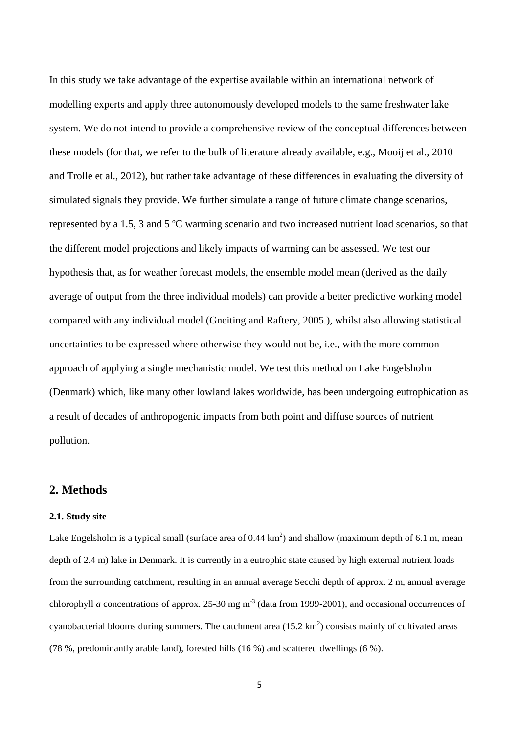In this study we take advantage of the expertise available within an international network of modelling experts and apply three autonomously developed models to the same freshwater lake system. We do not intend to provide a comprehensive review of the conceptual differences between these models (for that, we refer to the bulk of literature already available, e.g., Mooij et al., 2010 and Trolle et al., 2012), but rather take advantage of these differences in evaluating the diversity of simulated signals they provide. We further simulate a range of future climate change scenarios, represented by a 1.5, 3 and 5 ºC warming scenario and two increased nutrient load scenarios, so that the different model projections and likely impacts of warming can be assessed. We test our hypothesis that, as for weather forecast models, the ensemble model mean (derived as the daily average of output from the three individual models) can provide a better predictive working model compared with any individual model (Gneiting and Raftery, 2005.), whilst also allowing statistical uncertainties to be expressed where otherwise they would not be, i.e., with the more common approach of applying a single mechanistic model. We test this method on Lake Engelsholm (Denmark) which, like many other lowland lakes worldwide, has been undergoing eutrophication as a result of decades of anthropogenic impacts from both point and diffuse sources of nutrient pollution.

## **2. Methods**

#### **2.1. Study site**

Lake Engelsholm is a typical small (surface area of  $0.44 \text{ km}^2$ ) and shallow (maximum depth of 6.1 m, mean depth of 2.4 m) lake in Denmark. It is currently in a eutrophic state caused by high external nutrient loads from the surrounding catchment, resulting in an annual average Secchi depth of approx. 2 m, annual average chlorophyll *a* concentrations of approx. 25-30 mg  $m<sup>3</sup>$  (data from 1999-2001), and occasional occurrences of cyanobacterial blooms during summers. The catchment area  $(15.2 \text{ km}^2)$  consists mainly of cultivated areas (78 %, predominantly arable land), forested hills (16 %) and scattered dwellings (6 %).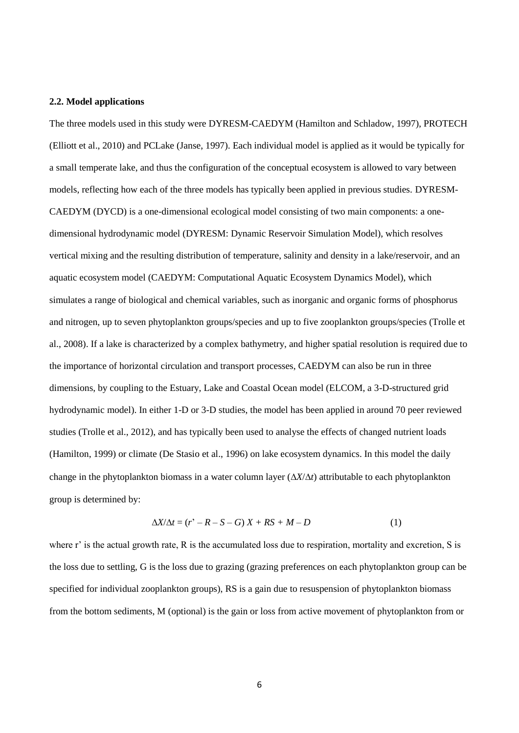#### **2.2. Model applications**

The three models used in this study were DYRESM-CAEDYM (Hamilton and Schladow, 1997), PROTECH (Elliott et al., 2010) and PCLake (Janse, 1997). Each individual model is applied as it would be typically for a small temperate lake, and thus the configuration of the conceptual ecosystem is allowed to vary between models, reflecting how each of the three models has typically been applied in previous studies. DYRESM-CAEDYM (DYCD) is a one-dimensional ecological model consisting of two main components: a onedimensional hydrodynamic model (DYRESM: Dynamic Reservoir Simulation Model), which resolves vertical mixing and the resulting distribution of temperature, salinity and density in a lake/reservoir, and an aquatic ecosystem model (CAEDYM: Computational Aquatic Ecosystem Dynamics Model), which simulates a range of biological and chemical variables, such as inorganic and organic forms of phosphorus and nitrogen, up to seven phytoplankton groups/species and up to five zooplankton groups/species (Trolle et al., 2008). If a lake is characterized by a complex bathymetry, and higher spatial resolution is required due to the importance of horizontal circulation and transport processes, CAEDYM can also be run in three dimensions, by coupling to the Estuary, Lake and Coastal Ocean model (ELCOM, a 3-D-structured grid hydrodynamic model). In either 1-D or 3-D studies, the model has been applied in around 70 peer reviewed studies (Trolle et al., 2012), and has typically been used to analyse the effects of changed nutrient loads (Hamilton, 1999) or climate (De Stasio et al., 1996) on lake ecosystem dynamics. In this model the daily change in the phytoplankton biomass in a water column layer  $(\Delta X/\Delta t)$  attributable to each phytoplankton group is determined by:

$$
\Delta X/\Delta t = (r' - R - S - G)X + RS + M - D \tag{1}
$$

where r' is the actual growth rate, R is the accumulated loss due to respiration, mortality and excretion, S is the loss due to settling, G is the loss due to grazing (grazing preferences on each phytoplankton group can be specified for individual zooplankton groups), RS is a gain due to resuspension of phytoplankton biomass from the bottom sediments, M (optional) is the gain or loss from active movement of phytoplankton from or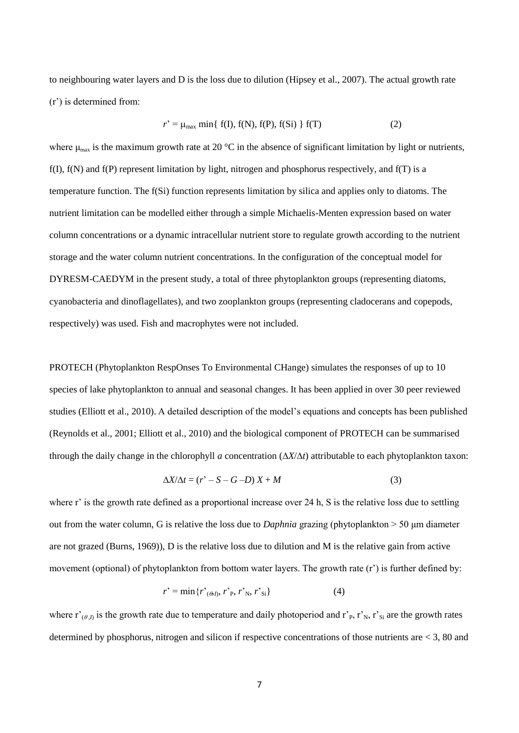to neighbouring water layers and D is the loss due to dilution (Hipsey et al., 2007). The actual growth rate (r') is determined from:

$$
r' = \mu_{\text{max}} \min\{f(I), f(N), f(P), f(Si)\} f(T) \tag{2}
$$

where  $\mu_{\text{max}}$  is the maximum growth rate at 20 °C in the absence of significant limitation by light or nutrients, f(I), f(N) and f(P) represent limitation by light, nitrogen and phosphorus respectively, and f(T) is a temperature function. The f(Si) function represents limitation by silica and applies only to diatoms. The nutrient limitation can be modelled either through a simple Michaelis-Menten expression based on water column concentrations or a dynamic intracellular nutrient store to regulate growth according to the nutrient storage and the water column nutrient concentrations. In the configuration of the conceptual model for DYRESM-CAEDYM in the present study, a total of three phytoplankton groups (representing diatoms, cyanobacteria and dinoflagellates), and two zooplankton groups (representing cladocerans and copepods, respectively) was used. Fish and macrophytes were not included.

PROTECH (Phytoplankton RespOnses To Environmental CHange) simulates the responses of up to 10 species of lake phytoplankton to annual and seasonal changes. It has been applied in over 30 peer reviewed studies (Elliott et al., 2010). A detailed description of the model's equations and concepts has been published (Reynolds et al., 2001; Elliott et al., 2010) and the biological component of PROTECH can be summarised through the daily change in the chlorophyll *a* concentration  $(\Delta X/\Delta t)$  attributable to each phytoplankton taxon:

$$
\Delta X/\Delta t = (r' - S - G - D)X + M \tag{3}
$$

where r' is the growth rate defined as a proportional increase over 24 h, S is the relative loss due to settling out from the water column, G is relative the loss due to *Daphnia* grazing (phytoplankton > 50 μm diameter are not grazed (Burns, 1969)), D is the relative loss due to dilution and M is the relative gain from active movement (optional) of phytoplankton from bottom water layers. The growth rate (r') is further defined by:

$$
r' = \min\{r'_{(\theta I)}, r'_{\text{P}}, r'_{\text{N}}, r'_{\text{Si}}\}\tag{4}
$$

where  $r'_{(\theta,I)}$  is the growth rate due to temperature and daily photoperiod and  $r'_{P}$ ,  $r'_{N}$ ,  $r'_{Si}$  are the growth rates determined by phosphorus, nitrogen and silicon if respective concentrations of those nutrients are < 3, 80 and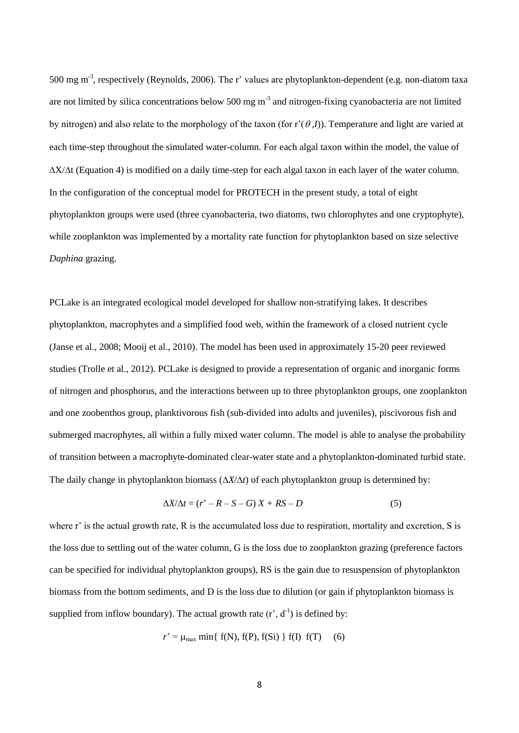500 mg m<sup>-3</sup>, respectively (Reynolds, 2006). The r' values are phytoplankton-dependent (e.g. non-diatom taxa are not limited by silica concentrations below 500 mg  $m<sup>-3</sup>$  and nitrogen-fixing cyanobacteria are not limited by nitrogen) and also relate to the morphology of the taxon (for  $r'(\theta,I)$ ). Temperature and light are varied at each time-step throughout the simulated water-column. For each algal taxon within the model, the value of  $\Delta X/\Delta t$  (Equation 4) is modified on a daily time-step for each algal taxon in each layer of the water column. In the configuration of the conceptual model for PROTECH in the present study, a total of eight phytoplankton groups were used (three cyanobacteria, two diatoms, two chlorophytes and one cryptophyte), while zooplankton was implemented by a mortality rate function for phytoplankton based on size selective *Daphina* grazing.

PCLake is an integrated ecological model developed for shallow non-stratifying lakes. It describes phytoplankton, macrophytes and a simplified food web, within the framework of a closed nutrient cycle (Janse et al., 2008; Mooij et al., 2010). The model has been used in approximately 15-20 peer reviewed studies (Trolle et al., 2012). PCLake is designed to provide a representation of organic and inorganic forms of nitrogen and phosphorus, and the interactions between up to three phytoplankton groups, one zooplankton and one zoobenthos group, planktivorous fish (sub-divided into adults and juveniles), piscivorous fish and submerged macrophytes, all within a fully mixed water column. The model is able to analyse the probability of transition between a macrophyte-dominated clear-water state and a phytoplankton-dominated turbid state. The daily change in phytoplankton biomass  $(\Delta X/\Delta t)$  of each phytoplankton group is determined by:

$$
\Delta X/\Delta t = (r^{\prime} - R - S - G) X + RS - D \tag{5}
$$

where r' is the actual growth rate, R is the accumulated loss due to respiration, mortality and excretion, S is the loss due to settling out of the water column, G is the loss due to zooplankton grazing (preference factors can be specified for individual phytoplankton groups), RS is the gain due to resuspension of phytoplankton biomass from the bottom sediments, and D is the loss due to dilution (or gain if phytoplankton biomass is supplied from inflow boundary). The actual growth rate  $(r^2, d^{-1})$  is defined by:

$$
r' = \mu_{\text{max}} \min\{f(N), f(P), f(Si)\} f(I) f(T)
$$
 (6)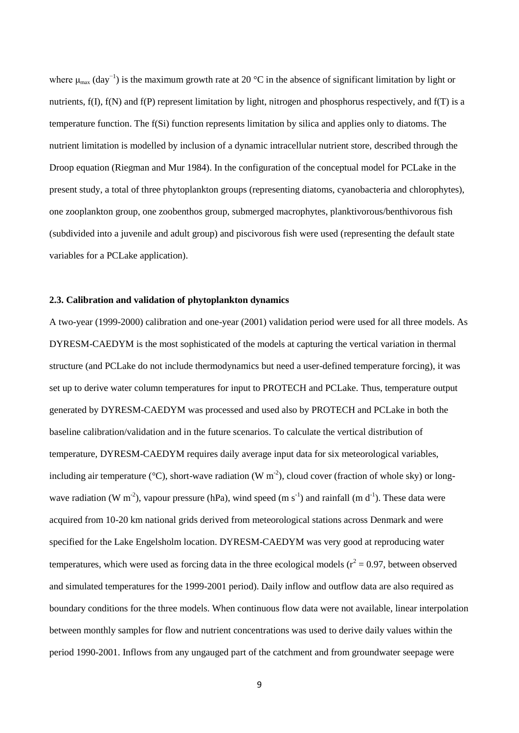where  $\mu_{\text{max}}$  (day<sup>-1</sup>) is the maximum growth rate at 20 °C in the absence of significant limitation by light or nutrients, f(I), f(N) and f(P) represent limitation by light, nitrogen and phosphorus respectively, and f(T) is a temperature function. The f(Si) function represents limitation by silica and applies only to diatoms. The nutrient limitation is modelled by inclusion of a dynamic intracellular nutrient store, described through the Droop equation (Riegman and Mur 1984). In the configuration of the conceptual model for PCLake in the present study, a total of three phytoplankton groups (representing diatoms, cyanobacteria and chlorophytes), one zooplankton group, one zoobenthos group, submerged macrophytes, planktivorous/benthivorous fish (subdivided into a juvenile and adult group) and piscivorous fish were used (representing the default state variables for a PCLake application).

#### **2.3. Calibration and validation of phytoplankton dynamics**

A two-year (1999-2000) calibration and one-year (2001) validation period were used for all three models. As DYRESM-CAEDYM is the most sophisticated of the models at capturing the vertical variation in thermal structure (and PCLake do not include thermodynamics but need a user-defined temperature forcing), it was set up to derive water column temperatures for input to PROTECH and PCLake. Thus, temperature output generated by DYRESM-CAEDYM was processed and used also by PROTECH and PCLake in both the baseline calibration/validation and in the future scenarios. To calculate the vertical distribution of temperature, DYRESM-CAEDYM requires daily average input data for six meteorological variables, including air temperature ( $\rm{^{\circ}C}$ ), short-wave radiation (W m<sup>-2</sup>), cloud cover (fraction of whole sky) or longwave radiation (W m<sup>-2</sup>), vapour pressure (hPa), wind speed (m s<sup>-1</sup>) and rainfall (m d<sup>-1</sup>). These data were acquired from 10-20 km national grids derived from meteorological stations across Denmark and were specified for the Lake Engelsholm location. DYRESM-CAEDYM was very good at reproducing water temperatures, which were used as forcing data in the three ecological models ( $r^2$  = 0.97, between observed and simulated temperatures for the 1999-2001 period). Daily inflow and outflow data are also required as boundary conditions for the three models. When continuous flow data were not available, linear interpolation between monthly samples for flow and nutrient concentrations was used to derive daily values within the period 1990-2001. Inflows from any ungauged part of the catchment and from groundwater seepage were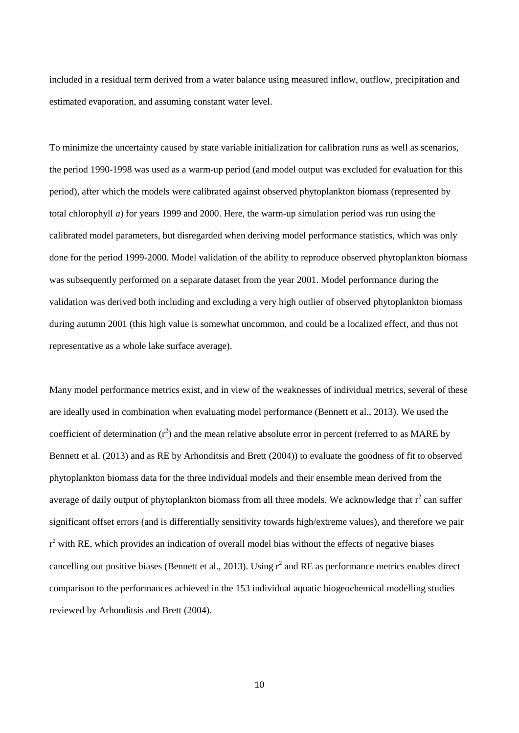included in a residual term derived from a water balance using measured inflow, outflow, precipitation and estimated evaporation, and assuming constant water level.

To minimize the uncertainty caused by state variable initialization for calibration runs as well as scenarios, the period 1990-1998 was used as a warm-up period (and model output was excluded for evaluation for this period), after which the models were calibrated against observed phytoplankton biomass (represented by total chlorophyll *a*) for years 1999 and 2000. Here, the warm-up simulation period was run using the calibrated model parameters, but disregarded when deriving model performance statistics, which was only done for the period 1999-2000. Model validation of the ability to reproduce observed phytoplankton biomass was subsequently performed on a separate dataset from the year 2001. Model performance during the validation was derived both including and excluding a very high outlier of observed phytoplankton biomass during autumn 2001 (this high value is somewhat uncommon, and could be a localized effect, and thus not representative as a whole lake surface average).

Many model performance metrics exist, and in view of the weaknesses of individual metrics, several of these are ideally used in combination when evaluating model performance (Bennett et al., 2013). We used the coefficient of determination  $(r^2)$  and the mean relative absolute error in percent (referred to as MARE by Bennett et al. (2013) and as RE by Arhonditsis and Brett (2004)) to evaluate the goodness of fit to observed phytoplankton biomass data for the three individual models and their ensemble mean derived from the average of daily output of phytoplankton biomass from all three models. We acknowledge that  $r^2$  can suffer significant offset errors (and is differentially sensitivity towards high/extreme values), and therefore we pair  $r<sup>2</sup>$  with RE, which provides an indication of overall model bias without the effects of negative biases cancelling out positive biases (Bennett et al., 2013). Using  $r^2$  and RE as performance metrics enables direct comparison to the performances achieved in the 153 individual aquatic biogeochemical modelling studies reviewed by Arhonditsis and Brett (2004).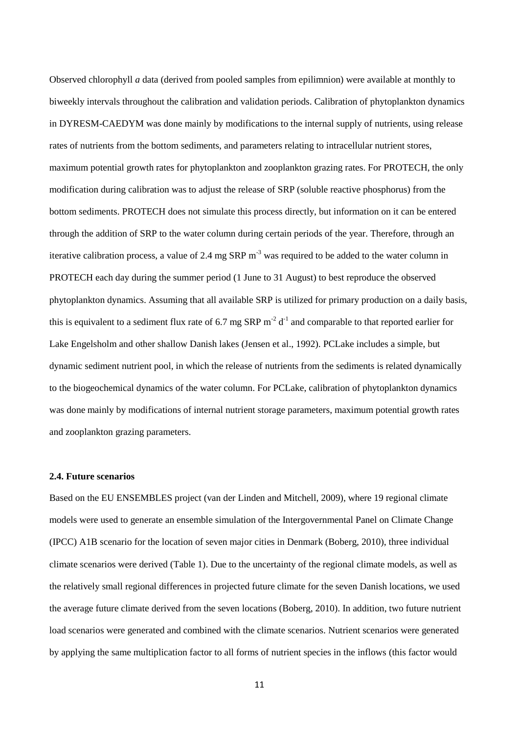Observed chlorophyll *a* data (derived from pooled samples from epilimnion) were available at monthly to biweekly intervals throughout the calibration and validation periods. Calibration of phytoplankton dynamics in DYRESM-CAEDYM was done mainly by modifications to the internal supply of nutrients, using release rates of nutrients from the bottom sediments, and parameters relating to intracellular nutrient stores, maximum potential growth rates for phytoplankton and zooplankton grazing rates. For PROTECH, the only modification during calibration was to adjust the release of SRP (soluble reactive phosphorus) from the bottom sediments. PROTECH does not simulate this process directly, but information on it can be entered through the addition of SRP to the water column during certain periods of the year. Therefore, through an iterative calibration process, a value of 2.4 mg SRP m<sup>-3</sup> was required to be added to the water column in PROTECH each day during the summer period (1 June to 31 August) to best reproduce the observed phytoplankton dynamics. Assuming that all available SRP is utilized for primary production on a daily basis, this is equivalent to a sediment flux rate of 6.7 mg SRP  $m^{-2}$  d<sup>-1</sup> and comparable to that reported earlier for Lake Engelsholm and other shallow Danish lakes (Jensen et al., 1992). PCLake includes a simple, but dynamic sediment nutrient pool, in which the release of nutrients from the sediments is related dynamically to the biogeochemical dynamics of the water column. For PCLake, calibration of phytoplankton dynamics was done mainly by modifications of internal nutrient storage parameters, maximum potential growth rates and zooplankton grazing parameters.

#### **2.4. Future scenarios**

Based on the EU ENSEMBLES project (van der Linden and Mitchell, 2009), where 19 regional climate models were used to generate an ensemble simulation of the Intergovernmental Panel on Climate Change (IPCC) A1B scenario for the location of seven major cities in Denmark (Boberg, 2010), three individual climate scenarios were derived (Table 1). Due to the uncertainty of the regional climate models, as well as the relatively small regional differences in projected future climate for the seven Danish locations, we used the average future climate derived from the seven locations (Boberg, 2010). In addition, two future nutrient load scenarios were generated and combined with the climate scenarios. Nutrient scenarios were generated by applying the same multiplication factor to all forms of nutrient species in the inflows (this factor would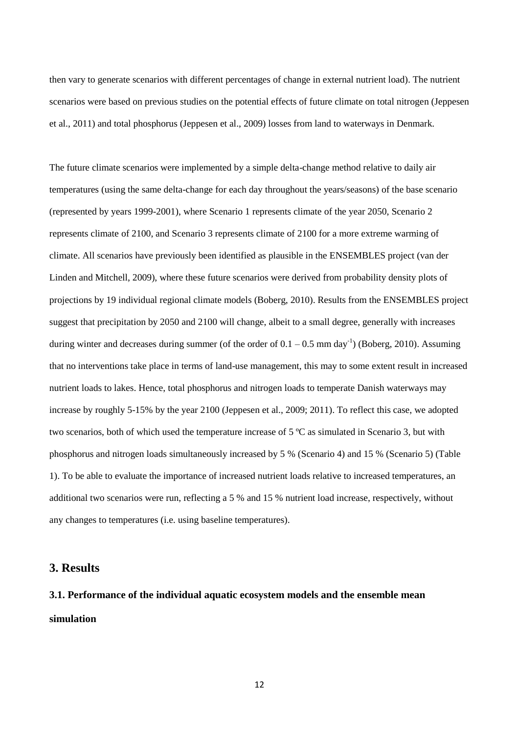then vary to generate scenarios with different percentages of change in external nutrient load). The nutrient scenarios were based on previous studies on the potential effects of future climate on total nitrogen (Jeppesen et al., 2011) and total phosphorus (Jeppesen et al., 2009) losses from land to waterways in Denmark.

The future climate scenarios were implemented by a simple delta-change method relative to daily air temperatures (using the same delta-change for each day throughout the years/seasons) of the base scenario (represented by years 1999-2001), where Scenario 1 represents climate of the year 2050, Scenario 2 represents climate of 2100, and Scenario 3 represents climate of 2100 for a more extreme warming of climate. All scenarios have previously been identified as plausible in the ENSEMBLES project (van der Linden and Mitchell, 2009), where these future scenarios were derived from probability density plots of projections by 19 individual regional climate models (Boberg, 2010). Results from the ENSEMBLES project suggest that precipitation by 2050 and 2100 will change, albeit to a small degree, generally with increases during winter and decreases during summer (of the order of  $0.1 - 0.5$  mm day<sup>-1</sup>) (Boberg, 2010). Assuming that no interventions take place in terms of land-use management, this may to some extent result in increased nutrient loads to lakes. Hence, total phosphorus and nitrogen loads to temperate Danish waterways may increase by roughly 5-15% by the year 2100 (Jeppesen et al., 2009; 2011). To reflect this case, we adopted two scenarios, both of which used the temperature increase of 5 ºC as simulated in Scenario 3, but with phosphorus and nitrogen loads simultaneously increased by 5 % (Scenario 4) and 15 % (Scenario 5) (Table 1). To be able to evaluate the importance of increased nutrient loads relative to increased temperatures, an additional two scenarios were run, reflecting a 5 % and 15 % nutrient load increase, respectively, without any changes to temperatures (i.e. using baseline temperatures).

#### **3. Results**

**3.1. Performance of the individual aquatic ecosystem models and the ensemble mean simulation**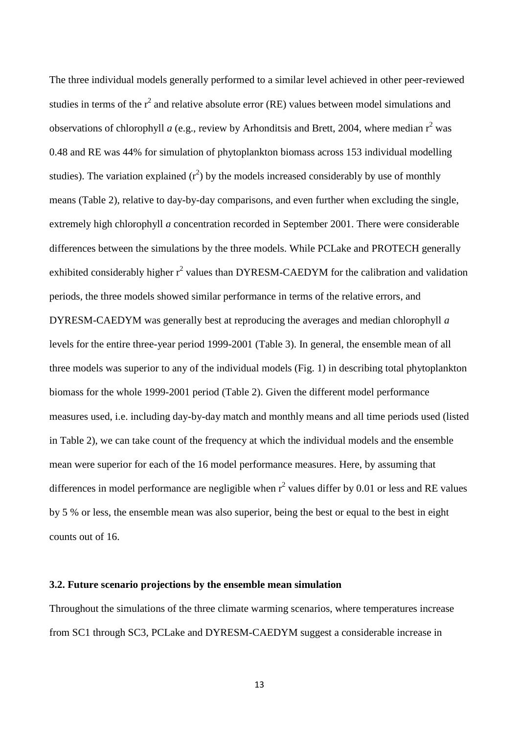The three individual models generally performed to a similar level achieved in other peer-reviewed studies in terms of the  $r^2$  and relative absolute error (RE) values between model simulations and observations of chlorophyll *a* (e.g., review by Arhonditsis and Brett, 2004, where median  $r^2$  was 0.48 and RE was 44% for simulation of phytoplankton biomass across 153 individual modelling studies). The variation explained  $(r^2)$  by the models increased considerably by use of monthly means (Table 2), relative to day-by-day comparisons, and even further when excluding the single, extremely high chlorophyll *a* concentration recorded in September 2001. There were considerable differences between the simulations by the three models. While PCLake and PROTECH generally exhibited considerably higher  $r^2$  values than DYRESM-CAEDYM for the calibration and validation periods, the three models showed similar performance in terms of the relative errors, and DYRESM-CAEDYM was generally best at reproducing the averages and median chlorophyll *a* levels for the entire three-year period 1999-2001 (Table 3). In general, the ensemble mean of all three models was superior to any of the individual models (Fig. 1) in describing total phytoplankton biomass for the whole 1999-2001 period (Table 2). Given the different model performance measures used, i.e. including day-by-day match and monthly means and all time periods used (listed in Table 2), we can take count of the frequency at which the individual models and the ensemble mean were superior for each of the 16 model performance measures. Here, by assuming that differences in model performance are negligible when  $r^2$  values differ by 0.01 or less and RE values by 5 % or less, the ensemble mean was also superior, being the best or equal to the best in eight counts out of 16.

#### **3.2. Future scenario projections by the ensemble mean simulation**

Throughout the simulations of the three climate warming scenarios, where temperatures increase from SC1 through SC3, PCLake and DYRESM-CAEDYM suggest a considerable increase in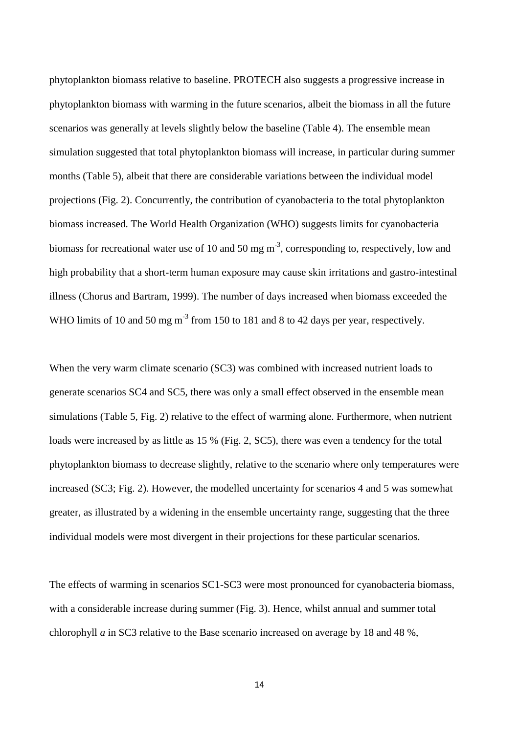phytoplankton biomass relative to baseline. PROTECH also suggests a progressive increase in phytoplankton biomass with warming in the future scenarios, albeit the biomass in all the future scenarios was generally at levels slightly below the baseline (Table 4). The ensemble mean simulation suggested that total phytoplankton biomass will increase, in particular during summer months (Table 5), albeit that there are considerable variations between the individual model projections (Fig. 2). Concurrently, the contribution of cyanobacteria to the total phytoplankton biomass increased. The World Health Organization (WHO) suggests limits for cyanobacteria biomass for recreational water use of 10 and 50 mg  $m^{-3}$ , corresponding to, respectively, low and high probability that a short-term human exposure may cause skin irritations and gastro-intestinal illness (Chorus and Bartram, 1999). The number of days increased when biomass exceeded the WHO limits of 10 and 50 mg  $m^{-3}$  from 150 to 181 and 8 to 42 days per year, respectively.

When the very warm climate scenario (SC3) was combined with increased nutrient loads to generate scenarios SC4 and SC5, there was only a small effect observed in the ensemble mean simulations (Table 5, Fig. 2) relative to the effect of warming alone. Furthermore, when nutrient loads were increased by as little as 15 % (Fig. 2, SC5), there was even a tendency for the total phytoplankton biomass to decrease slightly, relative to the scenario where only temperatures were increased (SC3; Fig. 2). However, the modelled uncertainty for scenarios 4 and 5 was somewhat greater, as illustrated by a widening in the ensemble uncertainty range, suggesting that the three individual models were most divergent in their projections for these particular scenarios.

The effects of warming in scenarios SC1-SC3 were most pronounced for cyanobacteria biomass, with a considerable increase during summer (Fig. 3). Hence, whilst annual and summer total chlorophyll *a* in SC3 relative to the Base scenario increased on average by 18 and 48 %,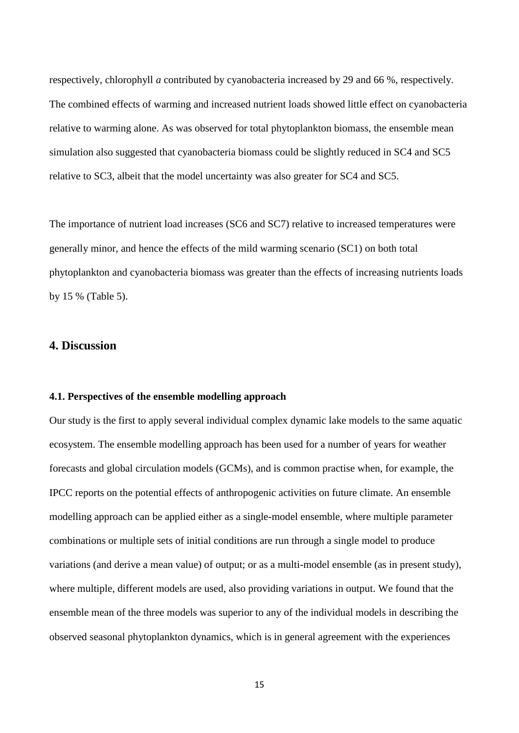respectively, chlorophyll *a* contributed by cyanobacteria increased by 29 and 66 %, respectively. The combined effects of warming and increased nutrient loads showed little effect on cyanobacteria relative to warming alone. As was observed for total phytoplankton biomass, the ensemble mean simulation also suggested that cyanobacteria biomass could be slightly reduced in SC4 and SC5 relative to SC3, albeit that the model uncertainty was also greater for SC4 and SC5.

The importance of nutrient load increases (SC6 and SC7) relative to increased temperatures were generally minor, and hence the effects of the mild warming scenario (SC1) on both total phytoplankton and cyanobacteria biomass was greater than the effects of increasing nutrients loads by 15 % (Table 5).

### **4. Discussion**

#### **4.1. Perspectives of the ensemble modelling approach**

Our study is the first to apply several individual complex dynamic lake models to the same aquatic ecosystem. The ensemble modelling approach has been used for a number of years for weather forecasts and global circulation models (GCMs), and is common practise when, for example, the IPCC reports on the potential effects of anthropogenic activities on future climate. An ensemble modelling approach can be applied either as a single-model ensemble, where multiple parameter combinations or multiple sets of initial conditions are run through a single model to produce variations (and derive a mean value) of output; or as a multi-model ensemble (as in present study), where multiple, different models are used, also providing variations in output. We found that the ensemble mean of the three models was superior to any of the individual models in describing the observed seasonal phytoplankton dynamics, which is in general agreement with the experiences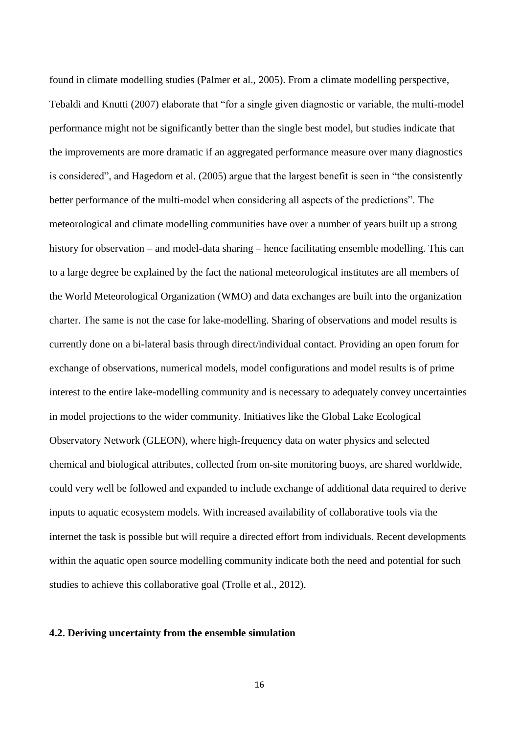found in climate modelling studies (Palmer et al., 2005). From a climate modelling perspective, Tebaldi and Knutti (2007) elaborate that "for a single given diagnostic or variable, the multi-model performance might not be significantly better than the single best model, but studies indicate that the improvements are more dramatic if an aggregated performance measure over many diagnostics is considered", and Hagedorn et al. (2005) argue that the largest benefit is seen in "the consistently better performance of the multi-model when considering all aspects of the predictions". The meteorological and climate modelling communities have over a number of years built up a strong history for observation – and model-data sharing – hence facilitating ensemble modelling. This can to a large degree be explained by the fact the national meteorological institutes are all members of the World Meteorological Organization (WMO) and data exchanges are built into the organization charter. The same is not the case for lake-modelling. Sharing of observations and model results is currently done on a bi-lateral basis through direct/individual contact. Providing an open forum for exchange of observations, numerical models, model configurations and model results is of prime interest to the entire lake-modelling community and is necessary to adequately convey uncertainties in model projections to the wider community. Initiatives like the Global Lake Ecological Observatory Network (GLEON), where high-frequency data on water physics and selected chemical and biological attributes, collected from on-site monitoring buoys, are shared worldwide, could very well be followed and expanded to include exchange of additional data required to derive inputs to aquatic ecosystem models. With increased availability of collaborative tools via the internet the task is possible but will require a directed effort from individuals. Recent developments within the aquatic open source modelling community indicate both the need and potential for such studies to achieve this collaborative goal (Trolle et al., 2012).

#### **4.2. Deriving uncertainty from the ensemble simulation**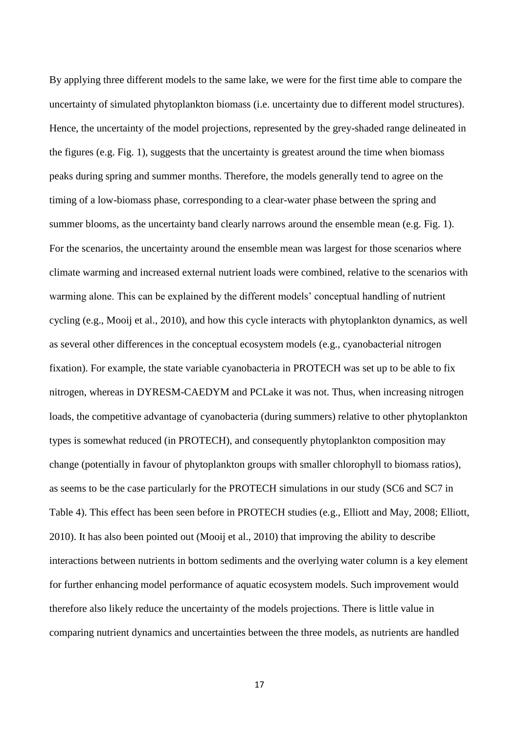By applying three different models to the same lake, we were for the first time able to compare the uncertainty of simulated phytoplankton biomass (i.e. uncertainty due to different model structures). Hence, the uncertainty of the model projections, represented by the grey-shaded range delineated in the figures (e.g. Fig. 1), suggests that the uncertainty is greatest around the time when biomass peaks during spring and summer months. Therefore, the models generally tend to agree on the timing of a low-biomass phase, corresponding to a clear-water phase between the spring and summer blooms, as the uncertainty band clearly narrows around the ensemble mean (e.g. Fig. 1). For the scenarios, the uncertainty around the ensemble mean was largest for those scenarios where climate warming and increased external nutrient loads were combined, relative to the scenarios with warming alone. This can be explained by the different models' conceptual handling of nutrient cycling (e.g., Mooij et al., 2010), and how this cycle interacts with phytoplankton dynamics, as well as several other differences in the conceptual ecosystem models (e.g., cyanobacterial nitrogen fixation). For example, the state variable cyanobacteria in PROTECH was set up to be able to fix nitrogen, whereas in DYRESM-CAEDYM and PCLake it was not. Thus, when increasing nitrogen loads, the competitive advantage of cyanobacteria (during summers) relative to other phytoplankton types is somewhat reduced (in PROTECH), and consequently phytoplankton composition may change (potentially in favour of phytoplankton groups with smaller chlorophyll to biomass ratios), as seems to be the case particularly for the PROTECH simulations in our study (SC6 and SC7 in Table 4). This effect has been seen before in PROTECH studies (e.g., Elliott and May, 2008; Elliott, 2010). It has also been pointed out (Mooij et al., 2010) that improving the ability to describe interactions between nutrients in bottom sediments and the overlying water column is a key element for further enhancing model performance of aquatic ecosystem models. Such improvement would therefore also likely reduce the uncertainty of the models projections. There is little value in comparing nutrient dynamics and uncertainties between the three models, as nutrients are handled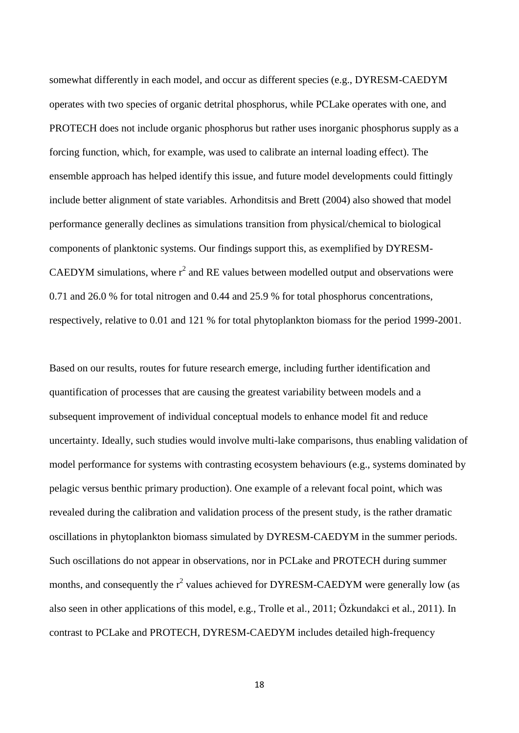somewhat differently in each model, and occur as different species (e.g., DYRESM-CAEDYM operates with two species of organic detrital phosphorus, while PCLake operates with one, and PROTECH does not include organic phosphorus but rather uses inorganic phosphorus supply as a forcing function, which, for example, was used to calibrate an internal loading effect). The ensemble approach has helped identify this issue, and future model developments could fittingly include better alignment of state variables. Arhonditsis and Brett (2004) also showed that model performance generally declines as simulations transition from physical/chemical to biological components of planktonic systems. Our findings support this, as exemplified by DYRESM-CAEDYM simulations, where  $r^2$  and RE values between modelled output and observations were 0.71 and 26.0 % for total nitrogen and 0.44 and 25.9 % for total phosphorus concentrations, respectively, relative to 0.01 and 121 % for total phytoplankton biomass for the period 1999-2001.

Based on our results, routes for future research emerge, including further identification and quantification of processes that are causing the greatest variability between models and a subsequent improvement of individual conceptual models to enhance model fit and reduce uncertainty. Ideally, such studies would involve multi-lake comparisons, thus enabling validation of model performance for systems with contrasting ecosystem behaviours (e.g., systems dominated by pelagic versus benthic primary production). One example of a relevant focal point, which was revealed during the calibration and validation process of the present study, is the rather dramatic oscillations in phytoplankton biomass simulated by DYRESM-CAEDYM in the summer periods. Such oscillations do not appear in observations, nor in PCLake and PROTECH during summer months, and consequently the  $r^2$  values achieved for DYRESM-CAEDYM were generally low (as also seen in other applications of this model, e.g., Trolle et al., 2011; Özkundakci et al., 2011). In contrast to PCLake and PROTECH, DYRESM-CAEDYM includes detailed high-frequency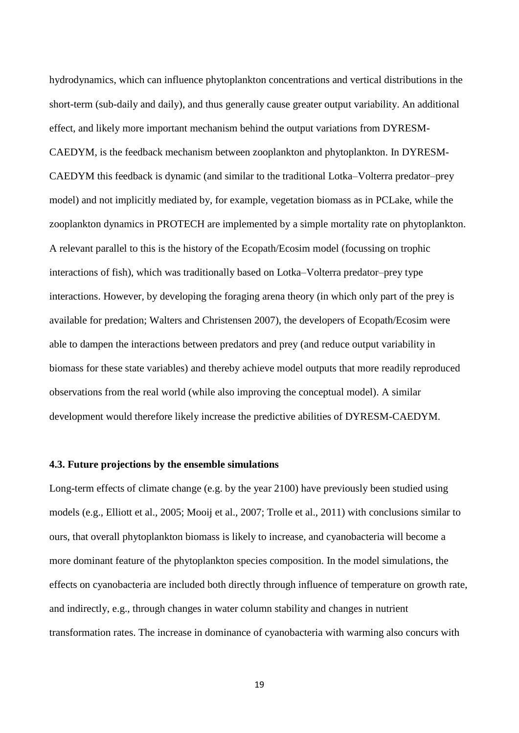hydrodynamics, which can influence phytoplankton concentrations and vertical distributions in the short-term (sub-daily and daily), and thus generally cause greater output variability. An additional effect, and likely more important mechanism behind the output variations from DYRESM-CAEDYM, is the feedback mechanism between zooplankton and phytoplankton. In DYRESM-CAEDYM this feedback is dynamic (and similar to the traditional Lotka–Volterra predator–prey model) and not implicitly mediated by, for example, vegetation biomass as in PCLake, while the zooplankton dynamics in PROTECH are implemented by a simple mortality rate on phytoplankton. A relevant parallel to this is the history of the Ecopath/Ecosim model (focussing on trophic interactions of fish), which was traditionally based on Lotka–Volterra predator–prey type interactions. However, by developing the foraging arena theory (in which only part of the prey is available for predation; Walters and Christensen 2007), the developers of Ecopath/Ecosim were able to dampen the interactions between predators and prey (and reduce output variability in biomass for these state variables) and thereby achieve model outputs that more readily reproduced observations from the real world (while also improving the conceptual model). A similar development would therefore likely increase the predictive abilities of DYRESM-CAEDYM.

#### **4.3. Future projections by the ensemble simulations**

Long-term effects of climate change (e.g. by the year 2100) have previously been studied using models (e.g., Elliott et al., 2005; Mooij et al., 2007; Trolle et al., 2011) with conclusions similar to ours, that overall phytoplankton biomass is likely to increase, and cyanobacteria will become a more dominant feature of the phytoplankton species composition. In the model simulations, the effects on cyanobacteria are included both directly through influence of temperature on growth rate, and indirectly, e.g., through changes in water column stability and changes in nutrient transformation rates. The increase in dominance of cyanobacteria with warming also concurs with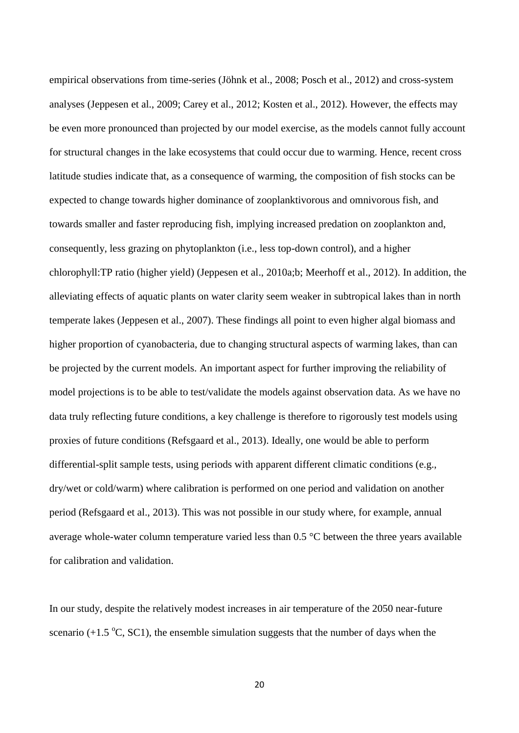empirical observations from time-series (Jöhnk et al., 2008; Posch et al., 2012) and cross-system analyses (Jeppesen et al., 2009; Carey et al., 2012; Kosten et al., 2012). However, the effects may be even more pronounced than projected by our model exercise, as the models cannot fully account for structural changes in the lake ecosystems that could occur due to warming. Hence, recent cross latitude studies indicate that, as a consequence of warming, the composition of fish stocks can be expected to change towards higher dominance of zooplanktivorous and omnivorous fish, and towards smaller and faster reproducing fish, implying increased predation on zooplankton and, consequently, less grazing on phytoplankton (i.e., less top-down control), and a higher chlorophyll:TP ratio (higher yield) (Jeppesen et al., 2010a;b; Meerhoff et al., 2012). In addition, the alleviating effects of aquatic plants on water clarity seem weaker in subtropical lakes than in north temperate lakes (Jeppesen et al., 2007). These findings all point to even higher algal biomass and higher proportion of cyanobacteria, due to changing structural aspects of warming lakes, than can be projected by the current models. An important aspect for further improving the reliability of model projections is to be able to test/validate the models against observation data. As we have no data truly reflecting future conditions, a key challenge is therefore to rigorously test models using proxies of future conditions (Refsgaard et al., 2013). Ideally, one would be able to perform differential-split sample tests, using periods with apparent different climatic conditions (e.g., dry/wet or cold/warm) where calibration is performed on one period and validation on another period (Refsgaard et al., 2013). This was not possible in our study where, for example, annual average whole-water column temperature varied less than 0.5 °C between the three years available for calibration and validation.

In our study, despite the relatively modest increases in air temperature of the 2050 near-future scenario ( $+1.5\text{ °C}$ , SC1), the ensemble simulation suggests that the number of days when the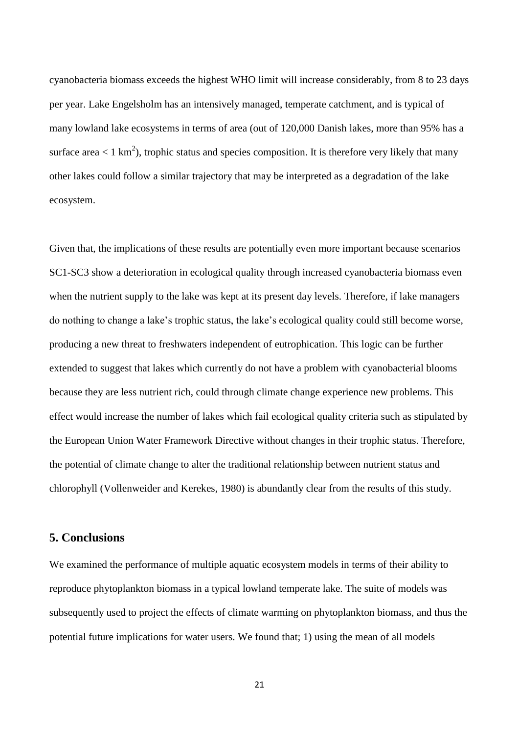cyanobacteria biomass exceeds the highest WHO limit will increase considerably, from 8 to 23 days per year. Lake Engelsholm has an intensively managed, temperate catchment, and is typical of many lowland lake ecosystems in terms of area (out of 120,000 Danish lakes, more than 95% has a surface area  $< 1 \text{ km}^2$ ), trophic status and species composition. It is therefore very likely that many other lakes could follow a similar trajectory that may be interpreted as a degradation of the lake ecosystem.

Given that, the implications of these results are potentially even more important because scenarios SC1-SC3 show a deterioration in ecological quality through increased cyanobacteria biomass even when the nutrient supply to the lake was kept at its present day levels. Therefore, if lake managers do nothing to change a lake's trophic status, the lake's ecological quality could still become worse, producing a new threat to freshwaters independent of eutrophication. This logic can be further extended to suggest that lakes which currently do not have a problem with cyanobacterial blooms because they are less nutrient rich, could through climate change experience new problems. This effect would increase the number of lakes which fail ecological quality criteria such as stipulated by the European Union Water Framework Directive without changes in their trophic status. Therefore, the potential of climate change to alter the traditional relationship between nutrient status and chlorophyll (Vollenweider and Kerekes, 1980) is abundantly clear from the results of this study.

## **5. Conclusions**

We examined the performance of multiple aquatic ecosystem models in terms of their ability to reproduce phytoplankton biomass in a typical lowland temperate lake. The suite of models was subsequently used to project the effects of climate warming on phytoplankton biomass, and thus the potential future implications for water users. We found that; 1) using the mean of all models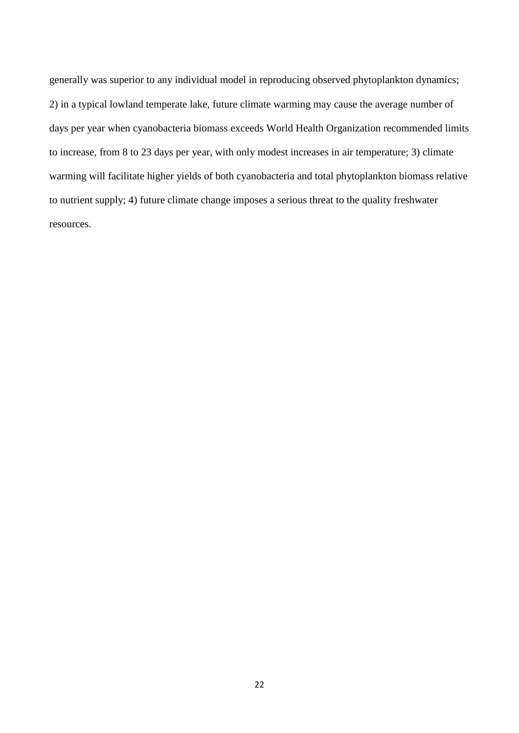generally was superior to any individual model in reproducing observed phytoplankton dynamics; 2) in a typical lowland temperate lake, future climate warming may cause the average number of days per year when cyanobacteria biomass exceeds World Health Organization recommended limits to increase, from 8 to 23 days per year, with only modest increases in air temperature; 3) climate warming will facilitate higher yields of both cyanobacteria and total phytoplankton biomass relative to nutrient supply; 4) future climate change imposes a serious threat to the quality freshwater resources.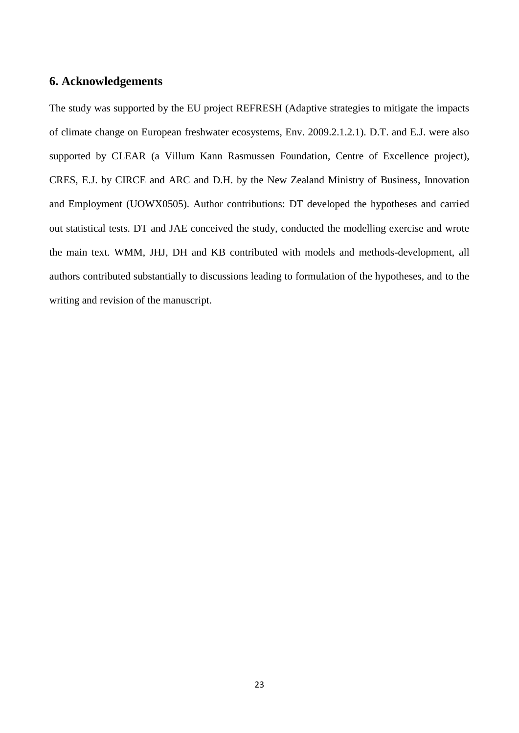## **6. Acknowledgements**

The study was supported by the EU project REFRESH (Adaptive strategies to mitigate the impacts of climate change on European freshwater ecosystems, Env. 2009.2.1.2.1). D.T. and E.J. were also supported by CLEAR (a Villum Kann Rasmussen Foundation, Centre of Excellence project), CRES, E.J. by CIRCE and ARC and D.H. by the New Zealand Ministry of Business, Innovation and Employment (UOWX0505). Author contributions: DT developed the hypotheses and carried out statistical tests. DT and JAE conceived the study, conducted the modelling exercise and wrote the main text. WMM, JHJ, DH and KB contributed with models and methods-development, all authors contributed substantially to discussions leading to formulation of the hypotheses, and to the writing and revision of the manuscript.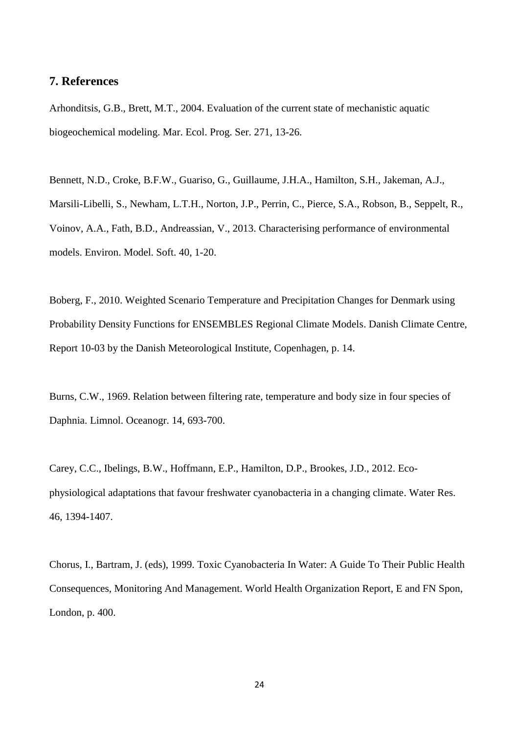## **7. References**

Arhonditsis, G.B., Brett, M.T., 2004. Evaluation of the current state of mechanistic aquatic biogeochemical modeling. Mar. Ecol. Prog. Ser. 271, 13-26.

Bennett, N.D., Croke, B.F.W., Guariso, G., Guillaume, J.H.A., Hamilton, S.H., Jakeman, A.J., Marsili-Libelli, S., Newham, L.T.H., Norton, J.P., Perrin, C., Pierce, S.A., Robson, B., Seppelt, R., Voinov, A.A., Fath, B.D., Andreassian, V., 2013. Characterising performance of environmental models. Environ. Model. Soft. 40, 1-20.

Boberg, F., 2010. Weighted Scenario Temperature and Precipitation Changes for Denmark using Probability Density Functions for ENSEMBLES Regional Climate Models. Danish Climate Centre, Report 10-03 by the Danish Meteorological Institute, Copenhagen, p. 14.

Burns, C.W., 1969. Relation between filtering rate, temperature and body size in four species of Daphnia. Limnol. Oceanogr. 14, 693-700.

Carey, C.C., Ibelings, B.W., Hoffmann, E.P., Hamilton, D.P., Brookes, J.D., 2012. Ecophysiological adaptations that favour freshwater cyanobacteria in a changing climate. Water Res. 46, 1394-1407.

Chorus, I., Bartram, J. (eds), 1999. Toxic Cyanobacteria In Water: A Guide To Their Public Health Consequences, Monitoring And Management. World Health Organization Report, E and FN Spon, London, p. 400.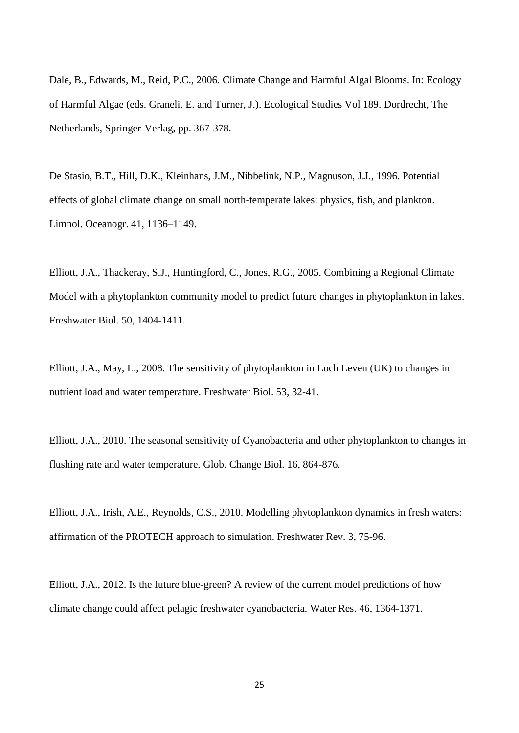Dale, B., Edwards, M., Reid, P.C., 2006. Climate Change and Harmful Algal Blooms. In: Ecology of Harmful Algae (eds. Graneli, E. and Turner, J.). Ecological Studies Vol 189. Dordrecht, The Netherlands, Springer-Verlag, pp. 367-378.

De Stasio, B.T., Hill, D.K., Kleinhans, J.M., Nibbelink, N.P., Magnuson, J.J., 1996. Potential effects of global climate change on small north-temperate lakes: physics, fish, and plankton. Limnol. Oceanogr. 41, 1136–1149.

Elliott, J.A., Thackeray, S.J., Huntingford, C., Jones, R.G., 2005. Combining a Regional Climate Model with a phytoplankton community model to predict future changes in phytoplankton in lakes. Freshwater Biol. 50, 1404-1411.

Elliott, J.A., May, L., 2008. The sensitivity of phytoplankton in Loch Leven (UK) to changes in nutrient load and water temperature. Freshwater Biol. 53, 32-41.

Elliott, J.A., 2010. The seasonal sensitivity of Cyanobacteria and other phytoplankton to changes in flushing rate and water temperature. Glob. Change Biol. 16, 864-876.

Elliott, J.A., Irish, A.E., Reynolds, C.S., 2010. Modelling phytoplankton dynamics in fresh waters: affirmation of the PROTECH approach to simulation. Freshwater Rev. 3, 75-96.

Elliott, J.A., 2012. Is the future blue-green? A review of the current model predictions of how climate change could affect pelagic freshwater cyanobacteria. Water Res. 46, 1364-1371.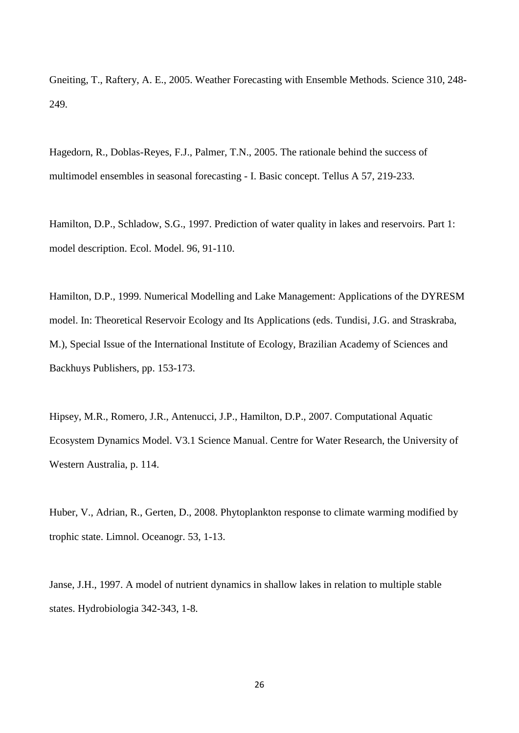Gneiting, T., Raftery, A. E., 2005. Weather Forecasting with Ensemble Methods. Science 310, 248- 249.

Hagedorn, R., Doblas-Reyes, F.J., Palmer, T.N., 2005. The rationale behind the success of multimodel ensembles in seasonal forecasting - I. Basic concept. Tellus A 57, 219-233.

Hamilton, D.P., Schladow, S.G., 1997. Prediction of water quality in lakes and reservoirs. Part 1: model description. Ecol. Model. 96, 91-110.

Hamilton, D.P., 1999. Numerical Modelling and Lake Management: Applications of the DYRESM model. In: Theoretical Reservoir Ecology and Its Applications (eds. Tundisi, J.G. and Straskraba, M.), Special Issue of the International Institute of Ecology, Brazilian Academy of Sciences and Backhuys Publishers, pp. 153-173.

Hipsey, M.R., Romero, J.R., Antenucci, J.P., Hamilton, D.P., 2007. Computational Aquatic Ecosystem Dynamics Model. V3.1 Science Manual. Centre for Water Research, the University of Western Australia, p. 114.

Huber, V., Adrian, R., Gerten, D., 2008. Phytoplankton response to climate warming modified by trophic state. Limnol. Oceanogr. 53, 1-13.

Janse, J.H., 1997. A model of nutrient dynamics in shallow lakes in relation to multiple stable states. Hydrobiologia 342-343, 1-8.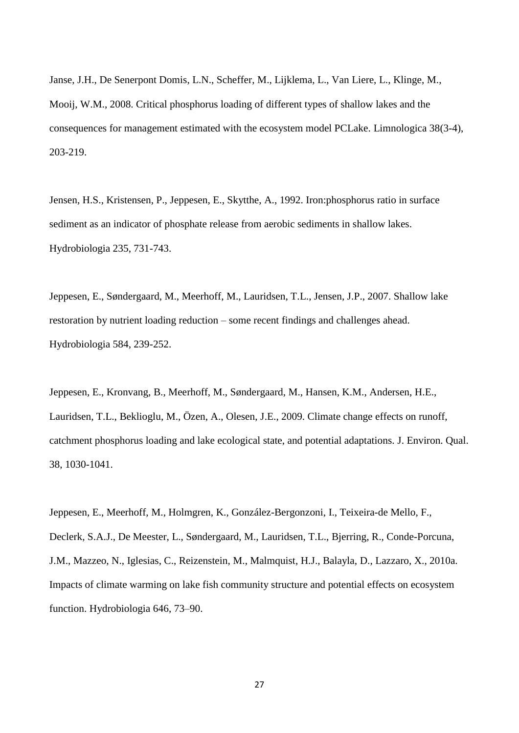Janse, J.H., De Senerpont Domis, L.N., Scheffer, M., Lijklema, L., Van Liere, L., Klinge, M., Mooij, W.M., 2008. Critical phosphorus loading of different types of shallow lakes and the consequences for management estimated with the ecosystem model PCLake. Limnologica 38(3-4), 203-219.

Jensen, H.S., Kristensen, P., Jeppesen, E., Skytthe, A., 1992. Iron:phosphorus ratio in surface sediment as an indicator of phosphate release from aerobic sediments in shallow lakes. Hydrobiologia 235, 731-743.

Jeppesen, E., Søndergaard, M., Meerhoff, M., Lauridsen, T.L., Jensen, J.P., 2007. Shallow lake restoration by nutrient loading reduction – some recent findings and challenges ahead. Hydrobiologia 584, 239-252.

Jeppesen, E., Kronvang, B., Meerhoff, M., Søndergaard, M., Hansen, K.M., Andersen, H.E., Lauridsen, T.L., Beklioglu, M., Özen, A., Olesen, J.E., 2009. Climate change effects on runoff, catchment phosphorus loading and lake ecological state, and potential adaptations. J. Environ. Qual. 38, 1030-1041.

Jeppesen, E., Meerhoff, M., Holmgren, K., González-Bergonzoni, I., Teixeira-de Mello, F., Declerk, S.A.J., De Meester, L., Søndergaard, M., Lauridsen, T.L., Bjerring, R., Conde-Porcuna, J.M., Mazzeo, N., Iglesias, C., Reizenstein, M., Malmquist, H.J., Balayla, D., Lazzaro, X., 2010a. Impacts of climate warming on lake fish community structure and potential effects on ecosystem function. Hydrobiologia 646, 73–90.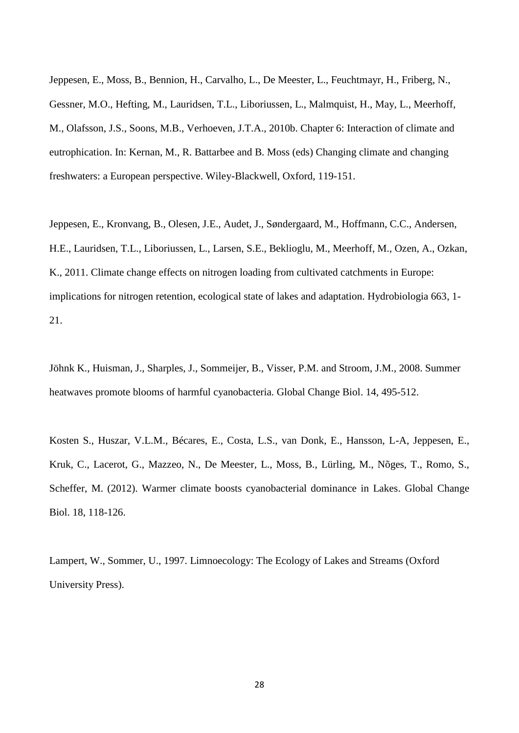Jeppesen, E., Moss, B., Bennion, H., Carvalho, L., De Meester, L., Feuchtmayr, H., Friberg, N., Gessner, M.O., Hefting, M., Lauridsen, T.L., Liboriussen, L., Malmquist, H., May, L., Meerhoff, M., Olafsson, J.S., Soons, M.B., Verhoeven, J.T.A., 2010b. Chapter 6: Interaction of climate and eutrophication. In: Kernan, M., R. Battarbee and B. Moss (eds) Changing climate and changing freshwaters: a European perspective. Wiley-Blackwell, Oxford, 119-151.

Jeppesen, E., Kronvang, B., Olesen, J.E., Audet, J., Søndergaard, M., Hoffmann, C.C., Andersen, H.E., Lauridsen, T.L., Liboriussen, L., Larsen, S.E., Beklioglu, M., Meerhoff, M., Ozen, A., Ozkan, K., 2011. Climate change effects on nitrogen loading from cultivated catchments in Europe: implications for nitrogen retention, ecological state of lakes and adaptation. Hydrobiologia 663, 1- 21.

Jöhnk K., Huisman, J., Sharples, J., Sommeijer, B., Visser, P.M. and Stroom, J.M., 2008. Summer heatwaves promote blooms of harmful cyanobacteria. Global Change Biol. 14, 495-512.

Kosten S., Huszar, V.L.M., Bécares, E., Costa, L.S., van Donk, E., Hansson, L-A, Jeppesen, E., Kruk, C., Lacerot, G., Mazzeo, N., De Meester, L., Moss, B., Lürling, M., Nõges, T., Romo, S., Scheffer, M. (2012). Warmer climate boosts cyanobacterial dominance in Lakes. Global Change Biol. 18, 118-126.

Lampert, W., Sommer, U., 1997. Limnoecology: The Ecology of Lakes and Streams (Oxford University Press).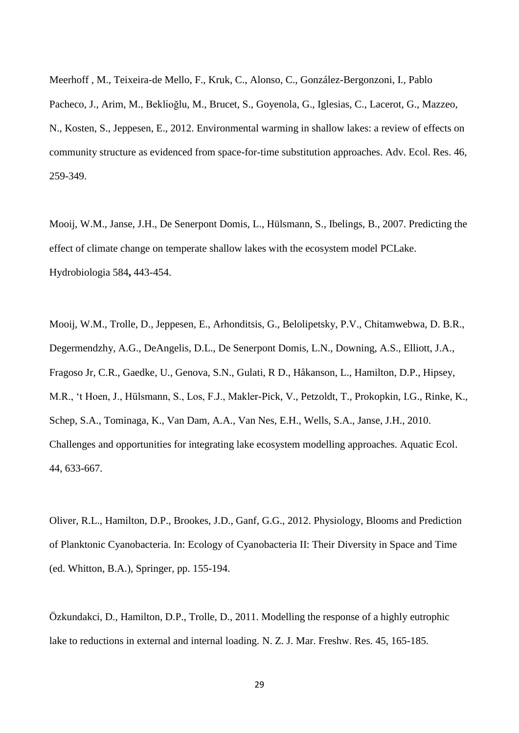Meerhoff , M., Teixeira-de Mello, F., Kruk, C., Alonso, C., González-Bergonzoni, I., Pablo Pacheco, J., Arim, M., Beklioğlu, M., Brucet, S., Goyenola, G., Iglesias, C., Lacerot, G., Mazzeo, N., Kosten, S., Jeppesen, E., 2012. Environmental warming in shallow lakes: a review of effects on community structure as evidenced from space-for-time substitution approaches. Adv. Ecol. Res. 46, 259-349.

Mooij, W.M., Janse, J.H., De Senerpont Domis, L., Hülsmann, S., Ibelings, B., 2007. Predicting the effect of climate change on temperate shallow lakes with the ecosystem model PCLake. Hydrobiologia 584**,** 443-454.

Mooij, W.M., Trolle, D., Jeppesen, E., Arhonditsis, G., Belolipetsky, P.V., Chitamwebwa, D. B.R., Degermendzhy, A.G., DeAngelis, D.L., De Senerpont Domis, L.N., Downing, A.S., Elliott, J.A., Fragoso Jr, C.R., Gaedke, U., Genova, S.N., Gulati, R D., Håkanson, L., Hamilton, D.P., Hipsey, M.R., 't Hoen, J., Hülsmann, S., Los, F.J., Makler-Pick, V., Petzoldt, T., Prokopkin, I.G., Rinke, K., Schep, S.A., Tominaga, K., Van Dam, A.A., Van Nes, E.H., Wells, S.A., Janse, J.H., 2010. Challenges and opportunities for integrating lake ecosystem modelling approaches. Aquatic Ecol. 44, 633-667.

Oliver, R.L., Hamilton, D.P., Brookes, J.D., Ganf, G.G., 2012. Physiology, Blooms and Prediction of Planktonic Cyanobacteria. In: Ecology of Cyanobacteria II: Their Diversity in Space and Time (ed. Whitton, B.A.), Springer, pp. 155-194.

Özkundakci, D., Hamilton, D.P., Trolle, D., 2011. Modelling the response of a highly eutrophic lake to reductions in external and internal loading. N. Z. J. Mar. Freshw. Res. 45, 165-185.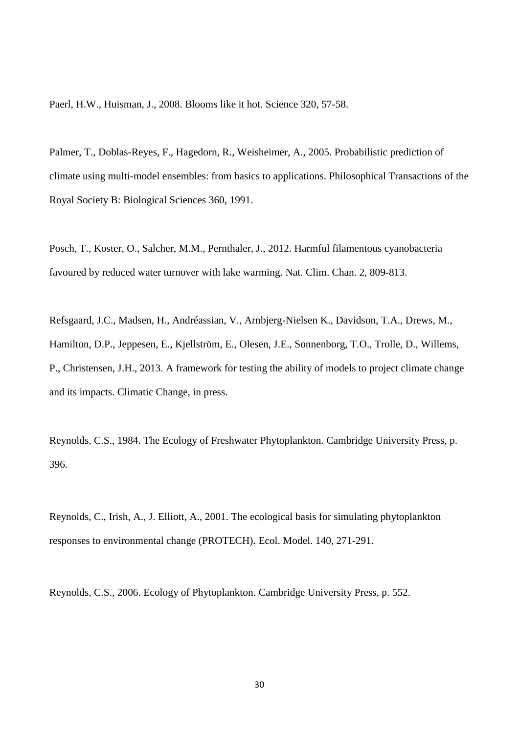Paerl, H.W., Huisman, J., 2008. Blooms like it hot. Science 320, 57-58.

Palmer, T., Doblas-Reyes, F., Hagedorn, R., Weisheimer, A., 2005. Probabilistic prediction of climate using multi-model ensembles: from basics to applications. Philosophical Transactions of the Royal Society B: Biological Sciences 360, 1991.

Posch, T., Koster, O., Salcher, M.M., Pernthaler, J., 2012. Harmful filamentous cyanobacteria favoured by reduced water turnover with lake warming. Nat. Clim. Chan. 2, 809-813.

Refsgaard, J.C., Madsen, H., Andréassian, V., Arnbjerg-Nielsen K., Davidson, T.A., Drews, M., Hamilton, D.P., Jeppesen, E., Kjellström, E., Olesen, J.E., Sonnenborg, T.O., Trolle, D., Willems, P., Christensen, J.H., 2013. A framework for testing the ability of models to project climate change and its impacts. Climatic Change, in press.

Reynolds, C.S., 1984. The Ecology of Freshwater Phytoplankton. Cambridge University Press, p. 396.

Reynolds, C., Irish, A., J. Elliott, A., 2001. The ecological basis for simulating phytoplankton responses to environmental change (PROTECH). Ecol. Model. 140, 271-291.

Reynolds, C.S., 2006. Ecology of Phytoplankton. Cambridge University Press, p. 552.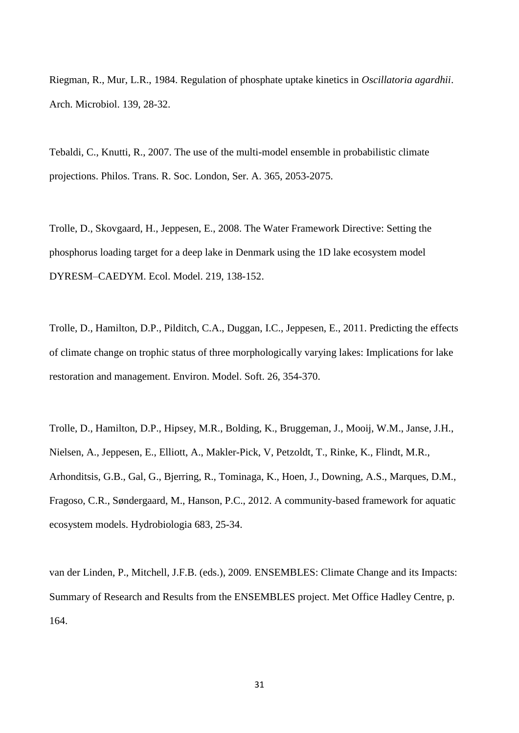Riegman, R., Mur, L.R., 1984. Regulation of phosphate uptake kinetics in *Oscillatoria agardhii*. Arch. Microbiol. 139, 28-32.

Tebaldi, C., Knutti, R., 2007. The use of the multi-model ensemble in probabilistic climate projections. Philos. Trans. R. Soc. London, Ser. A. 365, 2053-2075.

Trolle, D., Skovgaard, H., Jeppesen, E., 2008. The Water Framework Directive: Setting the phosphorus loading target for a deep lake in Denmark using the 1D lake ecosystem model DYRESM–CAEDYM. Ecol. Model. 219, 138-152.

Trolle, D., Hamilton, D.P., Pilditch, C.A., Duggan, I.C., Jeppesen, E., 2011. Predicting the effects of climate change on trophic status of three morphologically varying lakes: Implications for lake restoration and management. Environ. Model. Soft. 26, 354-370.

Trolle, D., Hamilton, D.P., Hipsey, M.R., Bolding, K., Bruggeman, J., Mooij, W.M., Janse, J.H., Nielsen, A., Jeppesen, E., Elliott, A., Makler-Pick, V, Petzoldt, T., Rinke, K., Flindt, M.R., Arhonditsis, G.B., Gal, G., Bjerring, R., Tominaga, K., Hoen, J., Downing, A.S., Marques, D.M., Fragoso, C.R., Søndergaard, M., Hanson, P.C., 2012. A community-based framework for aquatic ecosystem models. Hydrobiologia 683, 25-34.

van der Linden, P., Mitchell, J.F.B. (eds.), 2009. ENSEMBLES: Climate Change and its Impacts: Summary of Research and Results from the ENSEMBLES project. Met Office Hadley Centre, p. 164.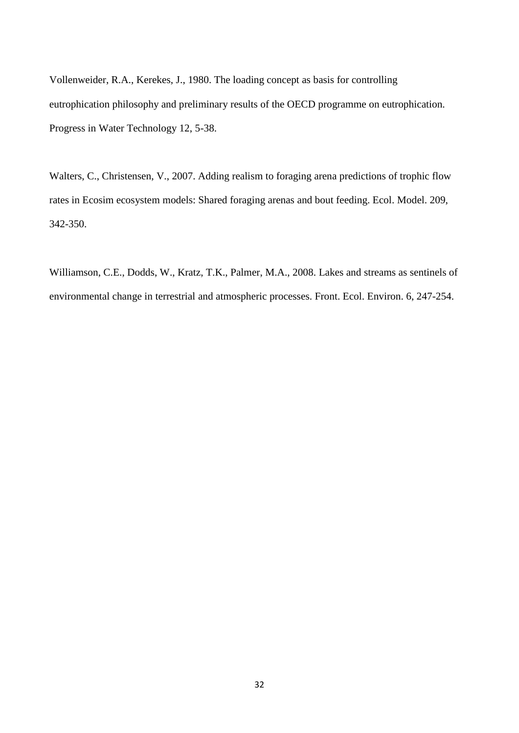Vollenweider, R.A., Kerekes, J., 1980. The loading concept as basis for controlling eutrophication philosophy and preliminary results of the OECD programme on eutrophication. Progress in Water Technology 12, 5-38.

Walters, C., Christensen, V., 2007. Adding realism to foraging arena predictions of trophic flow rates in Ecosim ecosystem models: Shared foraging arenas and bout feeding. Ecol. Model. 209, 342-350.

Williamson, C.E., Dodds, W., Kratz, T.K., Palmer, M.A., 2008. Lakes and streams as sentinels of environmental change in terrestrial and atmospheric processes. Front. Ecol. Environ. 6, 247-254.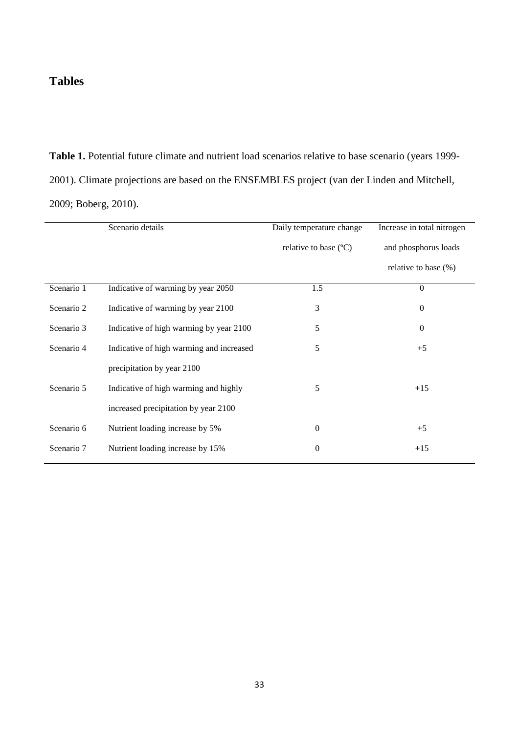## **Tables**

**Table 1.** Potential future climate and nutrient load scenarios relative to base scenario (years 1999- 2001). Climate projections are based on the ENSEMBLES project (van der Linden and Mitchell, 2009; Boberg, 2010).

|            | Scenario details                         | Daily temperature change       | Increase in total nitrogen |
|------------|------------------------------------------|--------------------------------|----------------------------|
|            |                                          | relative to base $(^{\circ}C)$ | and phosphorus loads       |
|            |                                          |                                | relative to base $(\%)$    |
| Scenario 1 | Indicative of warming by year 2050       | 1.5                            | $\Omega$                   |
| Scenario 2 | Indicative of warming by year 2100       | 3                              | $\overline{0}$             |
| Scenario 3 | Indicative of high warming by year 2100  | 5                              | $\mathbf{0}$               |
| Scenario 4 | Indicative of high warming and increased | 5                              | $+5$                       |
|            | precipitation by year 2100               |                                |                            |
| Scenario 5 | Indicative of high warming and highly    | 5                              | $+15$                      |
|            | increased precipitation by year 2100     |                                |                            |
| Scenario 6 | Nutrient loading increase by 5%          | $\overline{0}$                 | $+5$                       |
| Scenario 7 | Nutrient loading increase by 15%         | $\theta$                       | $+15$                      |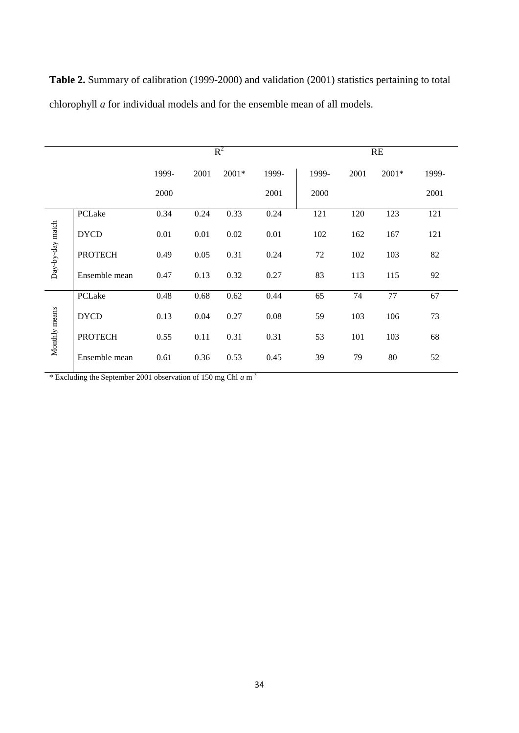|                  |                | $R^2$ |      |         |       | <b>RE</b> |      |         |       |
|------------------|----------------|-------|------|---------|-------|-----------|------|---------|-------|
|                  |                | 1999- | 2001 | $2001*$ | 1999- | 1999-     | 2001 | $2001*$ | 1999- |
|                  |                | 2000  |      |         | 2001  | 2000      |      |         | 2001  |
|                  | PCLake         | 0.34  | 0.24 | 0.33    | 0.24  | 121       | 120  | 123     | 121   |
| Day-by-day match | <b>DYCD</b>    | 0.01  | 0.01 | 0.02    | 0.01  | 102       | 162  | 167     | 121   |
|                  | <b>PROTECH</b> | 0.49  | 0.05 | 0.31    | 0.24  | 72        | 102  | 103     | 82    |
|                  | Ensemble mean  | 0.47  | 0.13 | 0.32    | 0.27  | 83        | 113  | 115     | 92    |
|                  | PCLake         | 0.48  | 0.68 | 0.62    | 0.44  | 65        | 74   | 77      | 67    |
| Monthly means    | <b>DYCD</b>    | 0.13  | 0.04 | 0.27    | 0.08  | 59        | 103  | 106     | 73    |
|                  | <b>PROTECH</b> | 0.55  | 0.11 | 0.31    | 0.31  | 53        | 101  | 103     | 68    |
|                  | Ensemble mean  | 0.61  | 0.36 | 0.53    | 0.45  | 39        | 79   | 80      | 52    |

**Table 2.** Summary of calibration (1999-2000) and validation (2001) statistics pertaining to total chlorophyll *a* for individual models and for the ensemble mean of all models.

\* Excluding the September 2001 observation of 150 mg Chl *a* m -3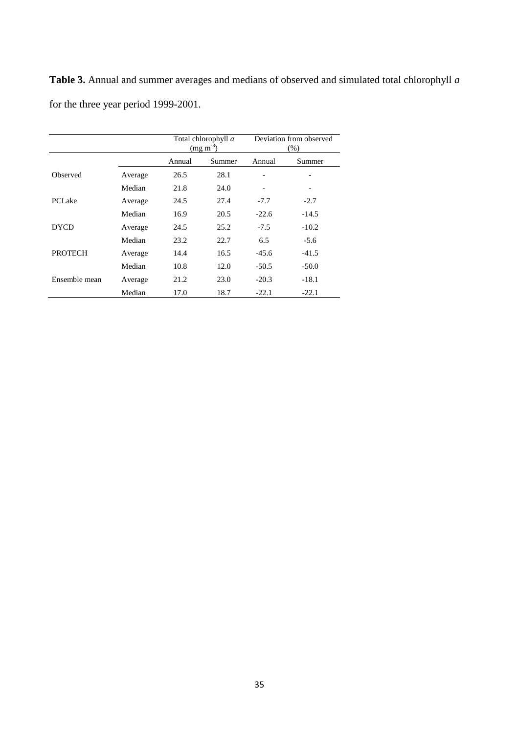**Table 3.** Annual and summer averages and medians of observed and simulated total chlorophyll *a* for the three year period 1999-2001.

|                |         | Total chlorophyll a<br>$(mg m-3)$ |        | Deviation from observed<br>(% ) |                          |  |
|----------------|---------|-----------------------------------|--------|---------------------------------|--------------------------|--|
|                |         | Annual                            | Summer | Annual                          | Summer                   |  |
| Observed       | Average | 26.5                              | 28.1   | -                               | $\overline{\phantom{a}}$ |  |
|                | Median  | 21.8                              | 24.0   |                                 |                          |  |
| <b>PCLake</b>  | Average | 24.5                              | 27.4   | $-7.7$                          | $-2.7$                   |  |
|                | Median  | 16.9                              | 20.5   | $-22.6$                         | $-14.5$                  |  |
| <b>DYCD</b>    | Average | 24.5                              | 25.2   | $-7.5$                          | $-10.2$                  |  |
|                | Median  | 23.2                              | 22.7   | 6.5                             | $-5.6$                   |  |
| <b>PROTECH</b> | Average | 14.4                              | 16.5   | $-45.6$                         | $-41.5$                  |  |
|                | Median  | 10.8                              | 12.0   | $-50.5$                         | $-50.0$                  |  |
| Ensemble mean  | Average | 21.2                              | 23.0   | $-20.3$                         | $-18.1$                  |  |
|                | Median  | 17.0                              | 18.7   | $-22.1$                         | $-22.1$                  |  |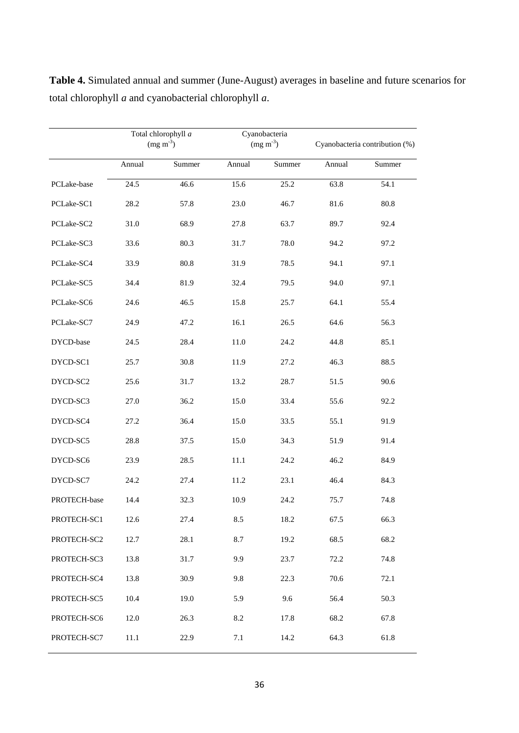|              | Total chlorophyll a<br>$(mg m-3)$ |        |        | Cyanobacteria<br>$(mg m-3)$ | Cyanobacteria contribution (%) |        |
|--------------|-----------------------------------|--------|--------|-----------------------------|--------------------------------|--------|
|              | Annual                            | Summer | Annual | Summer                      | Annual                         | Summer |
| PCLake-base  | 24.5                              | 46.6   | 15.6   | 25.2                        | 63.8                           | 54.1   |
| PCLake-SC1   | 28.2                              | 57.8   | 23.0   | 46.7                        | 81.6                           | 80.8   |
| PCLake-SC2   | 31.0                              | 68.9   | 27.8   | 63.7                        | 89.7                           | 92.4   |
| PCLake-SC3   | 33.6                              | 80.3   | 31.7   | 78.0                        | 94.2                           | 97.2   |
| PCLake-SC4   | 33.9                              | 80.8   | 31.9   | 78.5                        | 94.1                           | 97.1   |
| PCLake-SC5   | 34.4                              | 81.9   | 32.4   | 79.5                        | 94.0                           | 97.1   |
| PCLake-SC6   | 24.6                              | 46.5   | 15.8   | 25.7                        | 64.1                           | 55.4   |
| PCLake-SC7   | 24.9                              | 47.2   | 16.1   | 26.5                        | 64.6                           | 56.3   |
| DYCD-base    | 24.5                              | 28.4   | 11.0   | 24.2                        | 44.8                           | 85.1   |
| DYCD-SC1     | 25.7                              | 30.8   | 11.9   | 27.2                        | 46.3                           | 88.5   |
| DYCD-SC2     | 25.6                              | 31.7   | 13.2   | 28.7                        | 51.5                           | 90.6   |
| DYCD-SC3     | 27.0                              | 36.2   | 15.0   | 33.4                        | 55.6                           | 92.2   |
| DYCD-SC4     | 27.2                              | 36.4   | 15.0   | 33.5                        | 55.1                           | 91.9   |
| DYCD-SC5     | 28.8                              | 37.5   | 15.0   | 34.3                        | 51.9                           | 91.4   |
| DYCD-SC6     | 23.9                              | 28.5   | 11.1   | 24.2                        | 46.2                           | 84.9   |
| DYCD-SC7     | 24.2                              | 27.4   | 11.2   | 23.1                        | 46.4                           | 84.3   |
| PROTECH-base | 14.4                              | 32.3   | 10.9   | 24.2                        | 75.7                           | 74.8   |
| PROTECH-SC1  | 12.6                              | 27.4   | 8.5    | 18.2                        | 67.5                           | 66.3   |
| PROTECH-SC2  | 12.7                              | 28.1   | 8.7    | 19.2                        | 68.5                           | 68.2   |
| PROTECH-SC3  | 13.8                              | 31.7   | 9.9    | 23.7                        | 72.2                           | 74.8   |
| PROTECH-SC4  | 13.8                              | 30.9   | 9.8    | 22.3                        | 70.6                           | 72.1   |
| PROTECH-SC5  | 10.4                              | 19.0   | 5.9    | 9.6                         | 56.4                           | 50.3   |
| PROTECH-SC6  | 12.0                              | 26.3   | 8.2    | 17.8                        | 68.2                           | 67.8   |
| PROTECH-SC7  | 11.1                              | 22.9   | 7.1    | 14.2                        | 64.3                           | 61.8   |

**Table 4.** Simulated annual and summer (June-August) averages in baseline and future scenarios for total chlorophyll *a* and cyanobacterial chlorophyll *a*.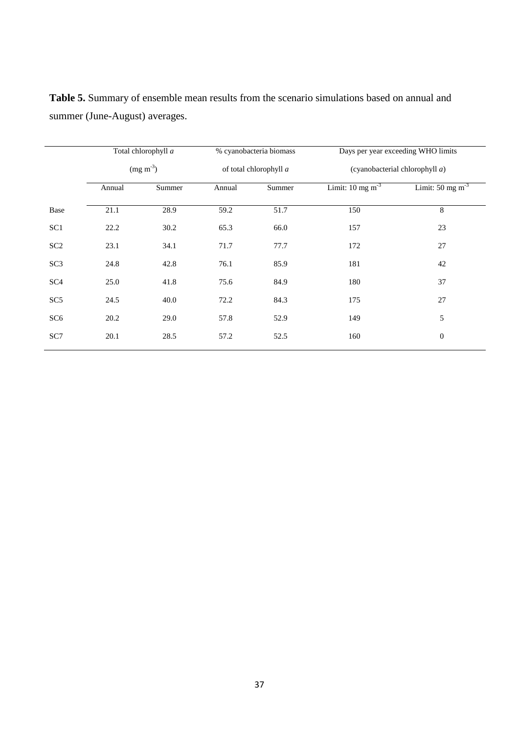|                 | Total chlorophyll a<br>$(mg m-3)$ |        | % cyanobacteria biomass<br>of total chlorophyll a |      | Days per year exceeding WHO limits<br>(cyanobacterial chlorophyll $a$ ) |                               |  |
|-----------------|-----------------------------------|--------|---------------------------------------------------|------|-------------------------------------------------------------------------|-------------------------------|--|
|                 |                                   |        |                                                   |      |                                                                         |                               |  |
|                 | Annual                            | Summer | Summer<br>Annual                                  |      | Limit: $10 \text{ mg m}^{-3}$                                           | Limit: $50 \text{ mg m}^{-3}$ |  |
| Base            | 21.1                              | 28.9   | 59.2                                              | 51.7 | 150                                                                     | 8                             |  |
| SC <sub>1</sub> | 22.2                              | 30.2   | 65.3                                              | 66.0 | 157                                                                     | 23                            |  |
| SC <sub>2</sub> | 23.1                              | 34.1   | 71.7                                              | 77.7 | 172                                                                     | 27                            |  |
| SC <sub>3</sub> | 24.8                              | 42.8   | 76.1                                              | 85.9 | 181                                                                     | 42                            |  |
| SC <sub>4</sub> | 25.0                              | 41.8   | 75.6                                              | 84.9 | 180                                                                     | 37                            |  |
| SC <sub>5</sub> | 24.5                              | 40.0   | 72.2                                              | 84.3 | 175                                                                     | 27                            |  |
| SC <sub>6</sub> | 20.2                              | 29.0   | 57.8                                              | 52.9 | 149                                                                     | 5                             |  |
| SC7             | 20.1                              | 28.5   | 57.2                                              | 52.5 | 160                                                                     | $\boldsymbol{0}$              |  |

**Table 5.** Summary of ensemble mean results from the scenario simulations based on annual and summer (June-August) averages.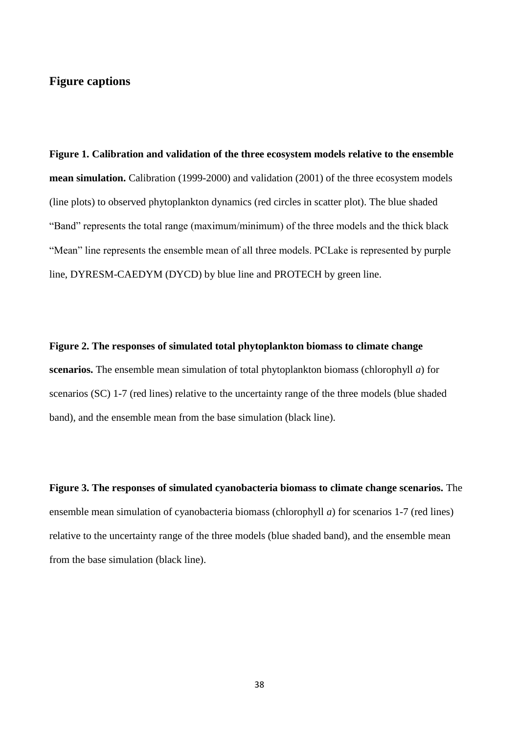## **Figure captions**

**Figure 1. Calibration and validation of the three ecosystem models relative to the ensemble mean simulation.** Calibration (1999-2000) and validation (2001) of the three ecosystem models (line plots) to observed phytoplankton dynamics (red circles in scatter plot). The blue shaded "Band" represents the total range (maximum/minimum) of the three models and the thick black "Mean" line represents the ensemble mean of all three models. PCLake is represented by purple line, DYRESM-CAEDYM (DYCD) by blue line and PROTECH by green line.

**Figure 2. The responses of simulated total phytoplankton biomass to climate change scenarios.** The ensemble mean simulation of total phytoplankton biomass (chlorophyll *a*) for scenarios (SC) 1-7 (red lines) relative to the uncertainty range of the three models (blue shaded band), and the ensemble mean from the base simulation (black line).

**Figure 3. The responses of simulated cyanobacteria biomass to climate change scenarios.** The ensemble mean simulation of cyanobacteria biomass (chlorophyll *a*) for scenarios 1-7 (red lines) relative to the uncertainty range of the three models (blue shaded band), and the ensemble mean from the base simulation (black line).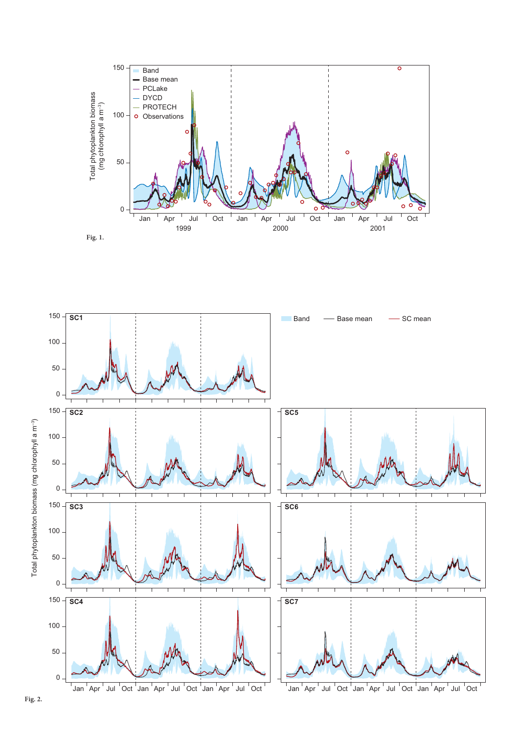